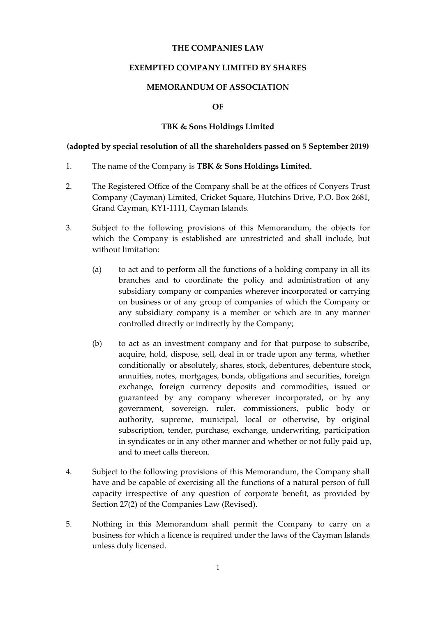# **THE COMPANIES LAW**

# **EXEMPTED COMPANY LIMITED BY SHARES**

# **MEMORANDUM OF ASSOCIATION**

# **OF**

# **TBK & Sons Holdings Limited**

### **(adopted by special resolution of all the shareholders passed on 5 September 2019)**

- 1. The name of the Company is **TBK & Sons Holdings Limited**.
- 2. The Registered Office of the Company shall be at the offices of Conyers Trust Company (Cayman) Limited, Cricket Square, Hutchins Drive, P.O. Box 2681, Grand Cayman, KY1-1111, Cayman Islands.
- 3. Subject to the following provisions of this Memorandum, the objects for which the Company is established are unrestricted and shall include, but without limitation:
	- (a) to act and to perform all the functions of a holding company in all its branches and to coordinate the policy and administration of any subsidiary company or companies wherever incorporated or carrying on business or of any group of companies of which the Company or any subsidiary company is a member or which are in any manner controlled directly or indirectly by the Company;
	- (b) to act as an investment company and for that purpose to subscribe, acquire, hold, dispose, sell, deal in or trade upon any terms, whether conditionally or absolutely, shares, stock, debentures, debenture stock, annuities, notes, mortgages, bonds, obligations and securities, foreign exchange, foreign currency deposits and commodities, issued or guaranteed by any company wherever incorporated, or by any government, sovereign, ruler, commissioners, public body or authority, supreme, municipal, local or otherwise, by original subscription, tender, purchase, exchange, underwriting, participation in syndicates or in any other manner and whether or not fully paid up, and to meet calls thereon.
- 4. Subject to the following provisions of this Memorandum, the Company shall have and be capable of exercising all the functions of a natural person of full capacity irrespective of any question of corporate benefit, as provided by Section 27(2) of the Companies Law (Revised).
- 5. Nothing in this Memorandum shall permit the Company to carry on a business for which a licence is required under the laws of the Cayman Islands unless duly licensed.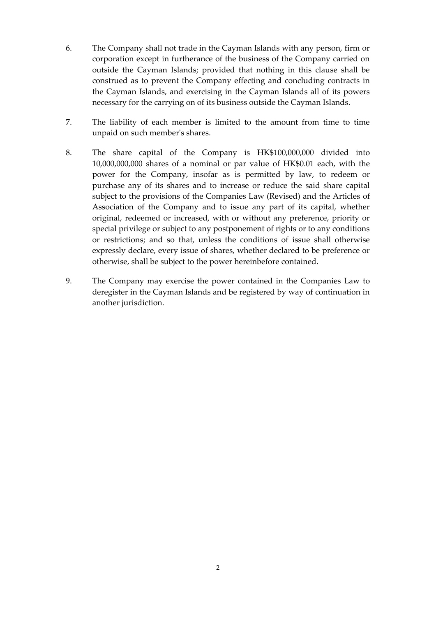- 6. The Company shall not trade in the Cayman Islands with any person, firm or corporation except in furtherance of the business of the Company carried on outside the Cayman Islands; provided that nothing in this clause shall be construed as to prevent the Company effecting and concluding contracts in the Cayman Islands, and exercising in the Cayman Islands all of its powers necessary for the carrying on of its business outside the Cayman Islands.
- 7. The liability of each member is limited to the amount from time to time unpaid on such member's shares.
- 8. The share capital of the Company is HK\$100,000,000 divided into 10,000,000,000 shares of a nominal or par value of HK\$0.01 each, with the power for the Company, insofar as is permitted by law, to redeem or purchase any of its shares and to increase or reduce the said share capital subject to the provisions of the Companies Law (Revised) and the Articles of Association of the Company and to issue any part of its capital, whether original, redeemed or increased, with or without any preference, priority or special privilege or subject to any postponement of rights or to any conditions or restrictions; and so that, unless the conditions of issue shall otherwise expressly declare, every issue of shares, whether declared to be preference or otherwise, shall be subject to the power hereinbefore contained.
- 9. The Company may exercise the power contained in the Companies Law to deregister in the Cayman Islands and be registered by way of continuation in another jurisdiction.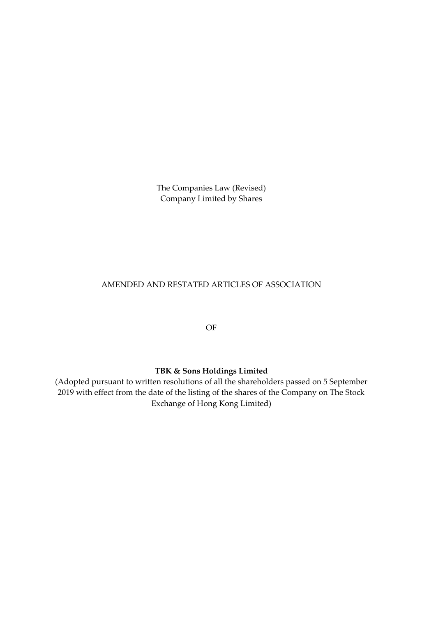The Companies Law (Revised) Company Limited by Shares

# AMENDED AND RESTATED ARTICLES OF ASSOCIATION

OF

# **TBK & Sons Holdings Limited**

(Adopted pursuant to written resolutions of all the shareholders passed on 5 September 2019 with effect from the date of the listing of the shares of the Company on The Stock Exchange of Hong Kong Limited)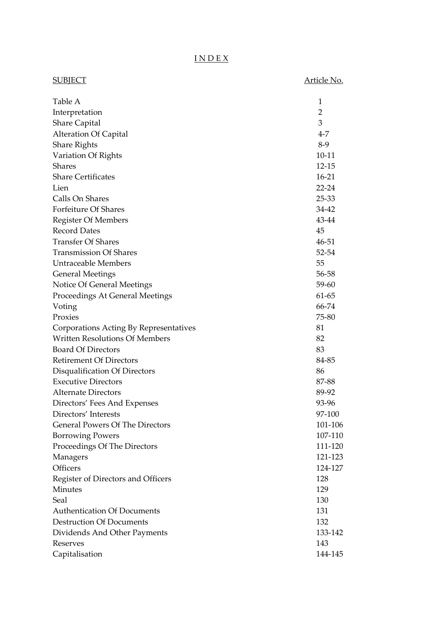# I N D E X

| <b>SUBJECT</b>                         | <u>Article No.</u> |
|----------------------------------------|--------------------|
| Table A                                | 1                  |
| Interpretation                         | $\overline{2}$     |
| <b>Share Capital</b>                   | 3                  |
| <b>Alteration Of Capital</b>           | $4 - 7$            |
| <b>Share Rights</b>                    | $8-9$              |
| Variation Of Rights                    | $10 - 11$          |
| <b>Shares</b>                          | $12 - 15$          |
| <b>Share Certificates</b>              | $16-21$            |
| Lien                                   | $22 - 24$          |
| Calls On Shares                        | 25-33              |
| Forfeiture Of Shares                   | 34-42              |
| <b>Register Of Members</b>             | 43-44              |
| <b>Record Dates</b>                    | 45                 |
| <b>Transfer Of Shares</b>              | 46-51              |
| <b>Transmission Of Shares</b>          | 52-54              |
| <b>Untraceable Members</b>             | 55                 |
| <b>General Meetings</b>                | 56-58              |
| Notice Of General Meetings             | 59-60              |
| Proceedings At General Meetings        | 61-65              |
| Voting                                 | 66-74              |
| Proxies                                | 75-80              |
| Corporations Acting By Representatives | 81                 |
| <b>Written Resolutions Of Members</b>  | 82                 |
| <b>Board Of Directors</b>              | 83                 |
| <b>Retirement Of Directors</b>         | 84-85              |
| Disqualification Of Directors          | 86                 |
| <b>Executive Directors</b>             | 87-88              |
| <b>Alternate Directors</b>             | 89-92              |
| Directors' Fees And Expenses           | 93-96              |
| Directors' Interests                   | 97-100             |
| <b>General Powers Of The Directors</b> | 101-106            |
| <b>Borrowing Powers</b>                | 107-110            |
| Proceedings Of The Directors           | 111-120            |
| Managers                               | 121-123            |
| Officers                               | 124-127            |
| Register of Directors and Officers     | 128                |
| <b>Minutes</b>                         | 129                |
| Seal                                   | 130                |
| <b>Authentication Of Documents</b>     | 131                |
| <b>Destruction Of Documents</b>        | 132                |
| Dividends And Other Payments           | 133-142            |
| Reserves                               | 143                |
| Capitalisation                         | 144-145            |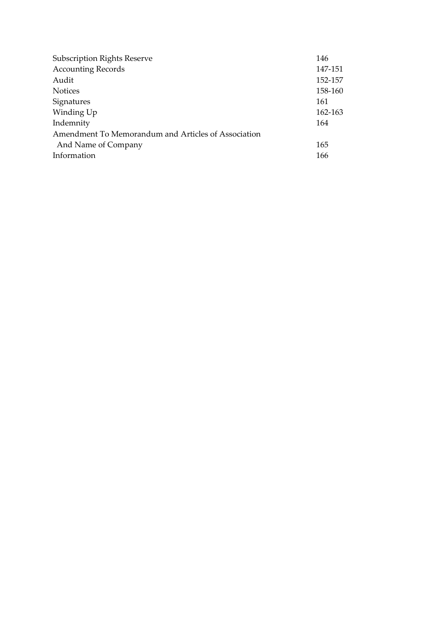| <b>Subscription Rights Reserve</b>                  | 146     |
|-----------------------------------------------------|---------|
| <b>Accounting Records</b>                           | 147-151 |
| Audit                                               | 152-157 |
| <b>Notices</b>                                      | 158-160 |
| Signatures                                          | 161     |
| Winding Up                                          | 162-163 |
| Indemnity                                           | 164     |
| Amendment To Memorandum and Articles of Association |         |
| And Name of Company                                 | 165     |
| Information                                         | 166     |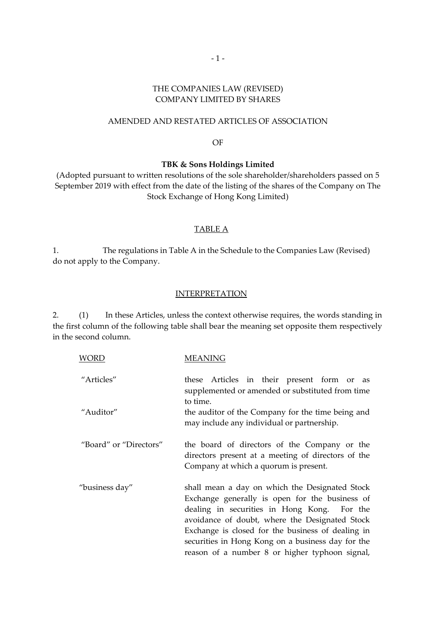# THE COMPANIES LAW (REVISED) COMPANY LIMITED BY SHARES

# AMENDED AND RESTATED ARTICLES OF ASSOCIATION

#### OF

#### **TBK & Sons Holdings Limited**

(Adopted pursuant to written resolutions of the sole shareholder/shareholders passed on 5 September 2019 with effect from the date of the listing of the shares of the Company on The Stock Exchange of Hong Kong Limited)

### TABLE A

1. The regulations in Table A in the Schedule to the Companies Law (Revised) do not apply to the Company.

# INTERPRETATION

2. (1) In these Articles, unless the context otherwise requires, the words standing in the first column of the following table shall bear the meaning set opposite them respectively in the second column.

| WORD                   | MEANING                                                                                                                                                                                                                                                                                                                                                       |
|------------------------|---------------------------------------------------------------------------------------------------------------------------------------------------------------------------------------------------------------------------------------------------------------------------------------------------------------------------------------------------------------|
| "Articles"             | these Articles in their present form or as<br>supplemented or amended or substituted from time<br>to time.                                                                                                                                                                                                                                                    |
| "Auditor"              | the auditor of the Company for the time being and<br>may include any individual or partnership.                                                                                                                                                                                                                                                               |
| "Board" or "Directors" | the board of directors of the Company or the<br>directors present at a meeting of directors of the<br>Company at which a quorum is present.                                                                                                                                                                                                                   |
| "business day"         | shall mean a day on which the Designated Stock<br>Exchange generally is open for the business of<br>dealing in securities in Hong Kong. For the<br>avoidance of doubt, where the Designated Stock<br>Exchange is closed for the business of dealing in<br>securities in Hong Kong on a business day for the<br>reason of a number 8 or higher typhoon signal, |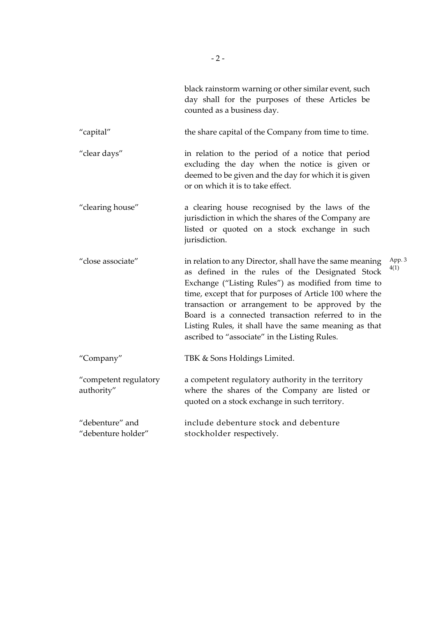|                                       | black rainstorm warning or other similar event, such<br>day shall for the purposes of these Articles be<br>counted as a business day.                                                                                                                                                                                                                                                                                                              |                |
|---------------------------------------|----------------------------------------------------------------------------------------------------------------------------------------------------------------------------------------------------------------------------------------------------------------------------------------------------------------------------------------------------------------------------------------------------------------------------------------------------|----------------|
| "capital"                             | the share capital of the Company from time to time.                                                                                                                                                                                                                                                                                                                                                                                                |                |
| "clear days"                          | in relation to the period of a notice that period<br>excluding the day when the notice is given or<br>deemed to be given and the day for which it is given<br>or on which it is to take effect.                                                                                                                                                                                                                                                    |                |
| "clearing house"                      | a clearing house recognised by the laws of the<br>jurisdiction in which the shares of the Company are<br>listed or quoted on a stock exchange in such<br>jurisdiction.                                                                                                                                                                                                                                                                             |                |
| "close associate"                     | in relation to any Director, shall have the same meaning<br>as defined in the rules of the Designated Stock<br>Exchange ("Listing Rules") as modified from time to<br>time, except that for purposes of Article 100 where the<br>transaction or arrangement to be approved by the<br>Board is a connected transaction referred to in the<br>Listing Rules, it shall have the same meaning as that<br>ascribed to "associate" in the Listing Rules. | App. 3<br>4(1) |
| "Company"                             | TBK & Sons Holdings Limited.                                                                                                                                                                                                                                                                                                                                                                                                                       |                |
| "competent regulatory<br>authority"   | a competent regulatory authority in the territory<br>where the shares of the Company are listed or<br>quoted on a stock exchange in such territory.                                                                                                                                                                                                                                                                                                |                |
| "debenture" and<br>"debenture holder" | include debenture stock and debenture<br>stockholder respectively.                                                                                                                                                                                                                                                                                                                                                                                 |                |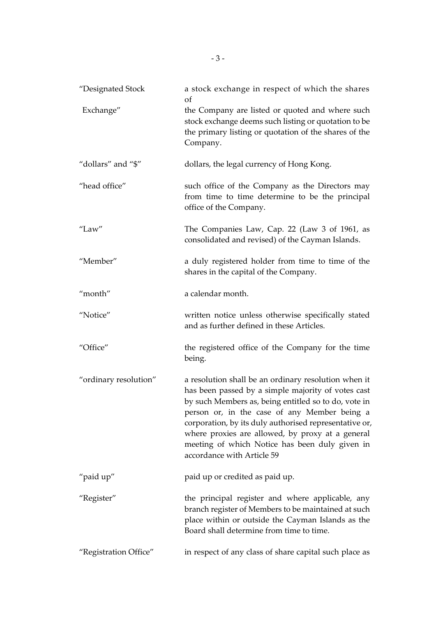| "Designated Stock     | a stock exchange in respect of which the shares<br>of                                                                                                                                                                                                                                                                                                                                                            |
|-----------------------|------------------------------------------------------------------------------------------------------------------------------------------------------------------------------------------------------------------------------------------------------------------------------------------------------------------------------------------------------------------------------------------------------------------|
| Exchange"             | the Company are listed or quoted and where such<br>stock exchange deems such listing or quotation to be<br>the primary listing or quotation of the shares of the<br>Company.                                                                                                                                                                                                                                     |
| "dollars" and "\$"    | dollars, the legal currency of Hong Kong.                                                                                                                                                                                                                                                                                                                                                                        |
| "head office"         | such office of the Company as the Directors may<br>from time to time determine to be the principal<br>office of the Company.                                                                                                                                                                                                                                                                                     |
| "Law"                 | The Companies Law, Cap. 22 (Law 3 of 1961, as<br>consolidated and revised) of the Cayman Islands.                                                                                                                                                                                                                                                                                                                |
| "Member"              | a duly registered holder from time to time of the<br>shares in the capital of the Company.                                                                                                                                                                                                                                                                                                                       |
| "month"               | a calendar month.                                                                                                                                                                                                                                                                                                                                                                                                |
| "Notice"              | written notice unless otherwise specifically stated<br>and as further defined in these Articles.                                                                                                                                                                                                                                                                                                                 |
| "Office"              | the registered office of the Company for the time<br>being.                                                                                                                                                                                                                                                                                                                                                      |
| "ordinary resolution" | a resolution shall be an ordinary resolution when it<br>has been passed by a simple majority of votes cast<br>by such Members as, being entitled so to do, vote in<br>person or, in the case of any Member being a<br>corporation, by its duly authorised representative or,<br>where proxies are allowed, by proxy at a general<br>meeting of which Notice has been duly given in<br>accordance with Article 59 |
| "paid up"             | paid up or credited as paid up.                                                                                                                                                                                                                                                                                                                                                                                  |
| "Register"            | the principal register and where applicable, any<br>branch register of Members to be maintained at such<br>place within or outside the Cayman Islands as the<br>Board shall determine from time to time.                                                                                                                                                                                                         |
| "Registration Office" | in respect of any class of share capital such place as                                                                                                                                                                                                                                                                                                                                                           |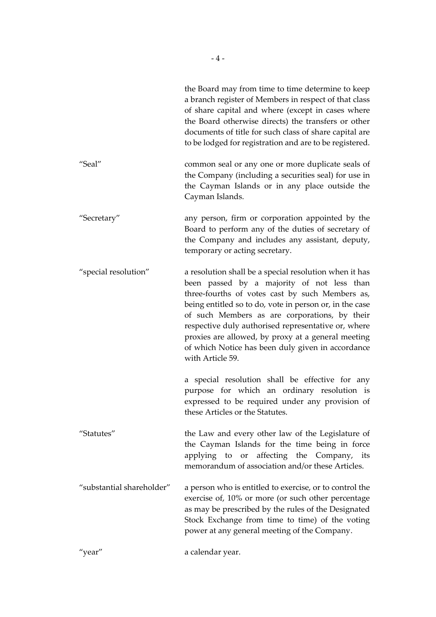|                           | the Board may from time to time determine to keep<br>a branch register of Members in respect of that class<br>of share capital and where (except in cases where<br>the Board otherwise directs) the transfers or other<br>documents of title for such class of share capital are<br>to be lodged for registration and are to be registered.                                                                                                               |
|---------------------------|-----------------------------------------------------------------------------------------------------------------------------------------------------------------------------------------------------------------------------------------------------------------------------------------------------------------------------------------------------------------------------------------------------------------------------------------------------------|
| "Seal"                    | common seal or any one or more duplicate seals of<br>the Company (including a securities seal) for use in<br>the Cayman Islands or in any place outside the<br>Cayman Islands.                                                                                                                                                                                                                                                                            |
| "Secretary"               | any person, firm or corporation appointed by the<br>Board to perform any of the duties of secretary of<br>the Company and includes any assistant, deputy,<br>temporary or acting secretary.                                                                                                                                                                                                                                                               |
| "special resolution"      | a resolution shall be a special resolution when it has<br>been passed by a majority of not less than<br>three-fourths of votes cast by such Members as,<br>being entitled so to do, vote in person or, in the case<br>of such Members as are corporations, by their<br>respective duly authorised representative or, where<br>proxies are allowed, by proxy at a general meeting<br>of which Notice has been duly given in accordance<br>with Article 59. |
|                           | a special resolution shall be effective for any<br>purpose for which an ordinary resolution is<br>expressed to be required under any provision of<br>these Articles or the Statutes.                                                                                                                                                                                                                                                                      |
| "Statutes"                | the Law and every other law of the Legislature of<br>the Cayman Islands for the time being in force<br>applying to or affecting the Company, its<br>memorandum of association and/or these Articles.                                                                                                                                                                                                                                                      |
| "substantial shareholder" | a person who is entitled to exercise, or to control the<br>exercise of, 10% or more (or such other percentage<br>as may be prescribed by the rules of the Designated<br>Stock Exchange from time to time) of the voting<br>power at any general meeting of the Company.                                                                                                                                                                                   |
| "year"                    | a calendar year.                                                                                                                                                                                                                                                                                                                                                                                                                                          |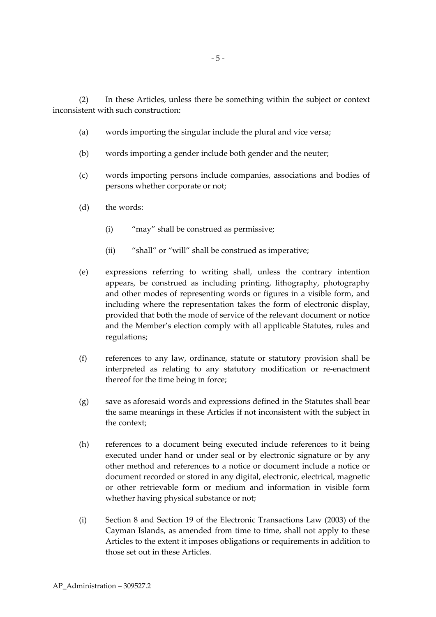(2) In these Articles, unless there be something within the subject or context inconsistent with such construction:

- (a) words importing the singular include the plural and vice versa;
- (b) words importing a gender include both gender and the neuter;
- (c) words importing persons include companies, associations and bodies of persons whether corporate or not;
- (d) the words:
	- (i) "may" shall be construed as permissive;
	- (ii) "shall" or "will" shall be construed as imperative;
- (e) expressions referring to writing shall, unless the contrary intention appears, be construed as including printing, lithography, photography and other modes of representing words or figures in a visible form, and including where the representation takes the form of electronic display, provided that both the mode of service of the relevant document or notice and the Member's election comply with all applicable Statutes, rules and regulations;
- (f) references to any law, ordinance, statute or statutory provision shall be interpreted as relating to any statutory modification or re-enactment thereof for the time being in force;
- (g) save as aforesaid words and expressions defined in the Statutes shall bear the same meanings in these Articles if not inconsistent with the subject in the context;
- (h) references to a document being executed include references to it being executed under hand or under seal or by electronic signature or by any other method and references to a notice or document include a notice or document recorded or stored in any digital, electronic, electrical, magnetic or other retrievable form or medium and information in visible form whether having physical substance or not;
- (i) Section 8 and Section 19 of the Electronic Transactions Law (2003) of the Cayman Islands, as amended from time to time, shall not apply to these Articles to the extent it imposes obligations or requirements in addition to those set out in these Articles.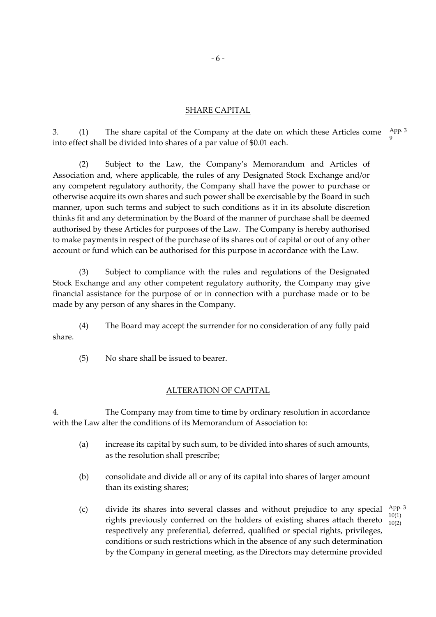# SHARE CAPITAL

3. (1) The share capital of the Company at the date on which these Articles come into effect shall be divided into shares of a par value of \$0.01 each. App. 3 9

(2) Subject to the Law, the Company's Memorandum and Articles of Association and, where applicable, the rules of any Designated Stock Exchange and/or any competent regulatory authority, the Company shall have the power to purchase or otherwise acquire its own shares and such power shall be exercisable by the Board in such manner, upon such terms and subject to such conditions as it in its absolute discretion thinks fit and any determination by the Board of the manner of purchase shall be deemed authorised by these Articles for purposes of the Law. The Company is hereby authorised to make payments in respect of the purchase of its shares out of capital or out of any other account or fund which can be authorised for this purpose in accordance with the Law.

(3) Subject to compliance with the rules and regulations of the Designated Stock Exchange and any other competent regulatory authority, the Company may give financial assistance for the purpose of or in connection with a purchase made or to be made by any person of any shares in the Company.

(4) The Board may accept the surrender for no consideration of any fully paid share.

(5) No share shall be issued to bearer.

# ALTERATION OF CAPITAL

4. The Company may from time to time by ordinary resolution in accordance with the Law alter the conditions of its Memorandum of Association to:

- (a) increase its capital by such sum, to be divided into shares of such amounts, as the resolution shall prescribe;
- (b) consolidate and divide all or any of its capital into shares of larger amount than its existing shares;
- (c) divide its shares into several classes and without prejudice to any special  $\frac{\text{App. 3}}{4000}$ rights previously conferred on the holders of existing shares attach thereto  $\frac{10(1)}{10(2)}$ respectively any preferential, deferred, qualified or special rights, privileges, conditions or such restrictions which in the absence of any such determination by the Company in general meeting, as the Directors may determine provided 10(2)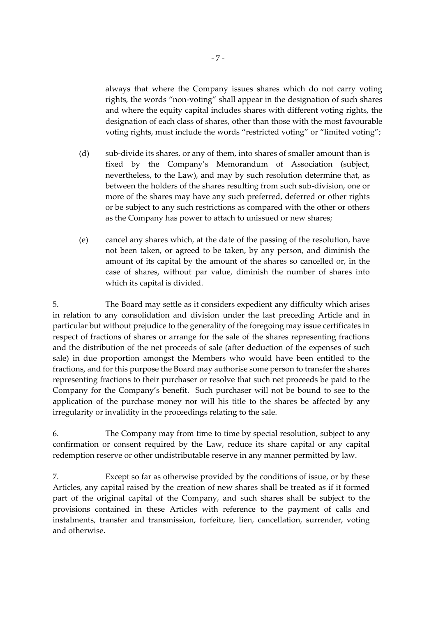always that where the Company issues shares which do not carry voting rights, the words "non-voting" shall appear in the designation of such shares and where the equity capital includes shares with different voting rights, the designation of each class of shares, other than those with the most favourable voting rights, must include the words "restricted voting" or "limited voting";

- (d) sub-divide its shares, or any of them, into shares of smaller amount than is fixed by the Company's Memorandum of Association (subject, nevertheless, to the Law), and may by such resolution determine that, as between the holders of the shares resulting from such sub-division, one or more of the shares may have any such preferred, deferred or other rights or be subject to any such restrictions as compared with the other or others as the Company has power to attach to unissued or new shares;
- (e) cancel any shares which, at the date of the passing of the resolution, have not been taken, or agreed to be taken, by any person, and diminish the amount of its capital by the amount of the shares so cancelled or, in the case of shares, without par value, diminish the number of shares into which its capital is divided.

5. The Board may settle as it considers expedient any difficulty which arises in relation to any consolidation and division under the last preceding Article and in particular but without prejudice to the generality of the foregoing may issue certificates in respect of fractions of shares or arrange for the sale of the shares representing fractions and the distribution of the net proceeds of sale (after deduction of the expenses of such sale) in due proportion amongst the Members who would have been entitled to the fractions, and for this purpose the Board may authorise some person to transfer the shares representing fractions to their purchaser or resolve that such net proceeds be paid to the Company for the Company's benefit. Such purchaser will not be bound to see to the application of the purchase money nor will his title to the shares be affected by any irregularity or invalidity in the proceedings relating to the sale.

6. The Company may from time to time by special resolution, subject to any confirmation or consent required by the Law, reduce its share capital or any capital redemption reserve or other undistributable reserve in any manner permitted by law.

7. Except so far as otherwise provided by the conditions of issue, or by these Articles, any capital raised by the creation of new shares shall be treated as if it formed part of the original capital of the Company, and such shares shall be subject to the provisions contained in these Articles with reference to the payment of calls and instalments, transfer and transmission, forfeiture, lien, cancellation, surrender, voting and otherwise.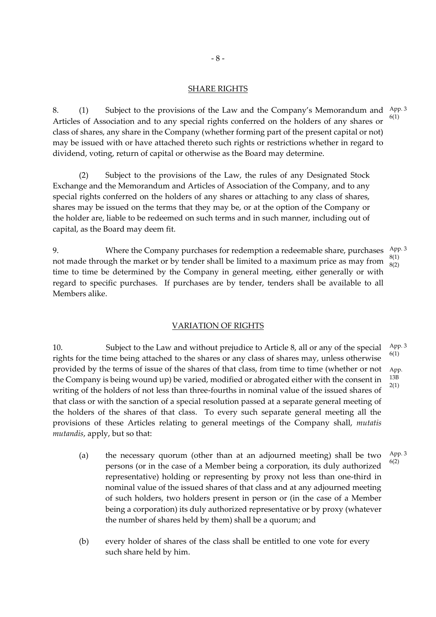#### SHARE RIGHTS

8. (1) Subject to the provisions of the Law and the Company's Memorandum and  $\frac{\text{App. 3}}{\text{app. 3}}$ Articles of Association and to any special rights conferred on the holders of any shares or class of shares, any share in the Company (whether forming part of the present capital or not) may be issued with or have attached thereto such rights or restrictions whether in regard to dividend, voting, return of capital or otherwise as the Board may determine. 6(1)

(2) Subject to the provisions of the Law, the rules of any Designated Stock Exchange and the Memorandum and Articles of Association of the Company, and to any special rights conferred on the holders of any shares or attaching to any class of shares, shares may be issued on the terms that they may be, or at the option of the Company or the holder are, liable to be redeemed on such terms and in such manner, including out of capital, as the Board may deem fit.

9. Where the Company purchases for redemption a redeemable share, purchases not made through the market or by tender shall be limited to a maximum price as may from time to time be determined by the Company in general meeting, either generally or with regard to specific purchases. If purchases are by tender, tenders shall be available to all Members alike. App. 3 8(1) 8(2)

# VARIATION OF RIGHTS

10. Subject to the Law and without prejudice to Article 8, all or any of the special rights for the time being attached to the shares or any class of shares may, unless otherwise provided by the terms of issue of the shares of that class, from time to time (whether or not the Company is being wound up) be varied, modified or abrogated either with the consent in writing of the holders of not less than three-fourths in nominal value of the issued shares of that class or with the sanction of a special resolution passed at a separate general meeting of the holders of the shares of that class. To every such separate general meeting all the provisions of these Articles relating to general meetings of the Company shall, *mutatis mutandis*, apply, but so that: App. 3 6(1) App. 13B 2(1)

- (a) the necessary quorum (other than at an adjourned meeting) shall be two persons (or in the case of a Member being a corporation, its duly authorized representative) holding or representing by proxy not less than one-third in nominal value of the issued shares of that class and at any adjourned meeting of such holders, two holders present in person or (in the case of a Member being a corporation) its duly authorized representative or by proxy (whatever the number of shares held by them) shall be a quorum; and App. 3 6(2)
- (b) every holder of shares of the class shall be entitled to one vote for every such share held by him.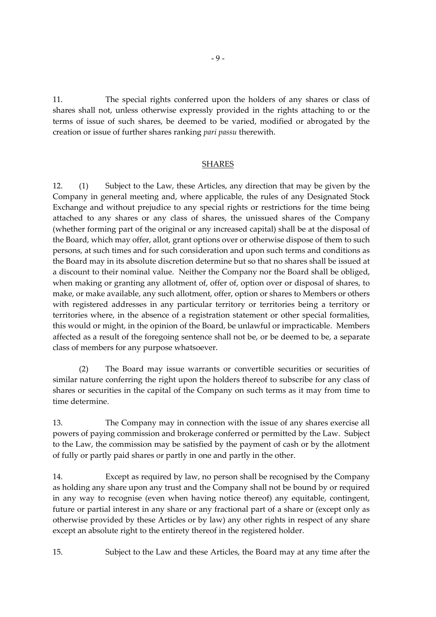11. The special rights conferred upon the holders of any shares or class of shares shall not, unless otherwise expressly provided in the rights attaching to or the terms of issue of such shares, be deemed to be varied, modified or abrogated by the creation or issue of further shares ranking *pari passu* therewith.

### SHARES

12. (1) Subject to the Law, these Articles, any direction that may be given by the Company in general meeting and, where applicable, the rules of any Designated Stock Exchange and without prejudice to any special rights or restrictions for the time being attached to any shares or any class of shares, the unissued shares of the Company (whether forming part of the original or any increased capital) shall be at the disposal of the Board, which may offer, allot, grant options over or otherwise dispose of them to such persons, at such times and for such consideration and upon such terms and conditions as the Board may in its absolute discretion determine but so that no shares shall be issued at a discount to their nominal value. Neither the Company nor the Board shall be obliged, when making or granting any allotment of, offer of, option over or disposal of shares, to make, or make available, any such allotment, offer, option or shares to Members or others with registered addresses in any particular territory or territories being a territory or territories where, in the absence of a registration statement or other special formalities, this would or might, in the opinion of the Board, be unlawful or impracticable. Members affected as a result of the foregoing sentence shall not be, or be deemed to be, a separate class of members for any purpose whatsoever.

(2) The Board may issue warrants or convertible securities or securities of similar nature conferring the right upon the holders thereof to subscribe for any class of shares or securities in the capital of the Company on such terms as it may from time to time determine.

13. The Company may in connection with the issue of any shares exercise all powers of paying commission and brokerage conferred or permitted by the Law. Subject to the Law, the commission may be satisfied by the payment of cash or by the allotment of fully or partly paid shares or partly in one and partly in the other.

14. Except as required by law, no person shall be recognised by the Company as holding any share upon any trust and the Company shall not be bound by or required in any way to recognise (even when having notice thereof) any equitable, contingent, future or partial interest in any share or any fractional part of a share or (except only as otherwise provided by these Articles or by law) any other rights in respect of any share except an absolute right to the entirety thereof in the registered holder.

15. Subject to the Law and these Articles, the Board may at any time after the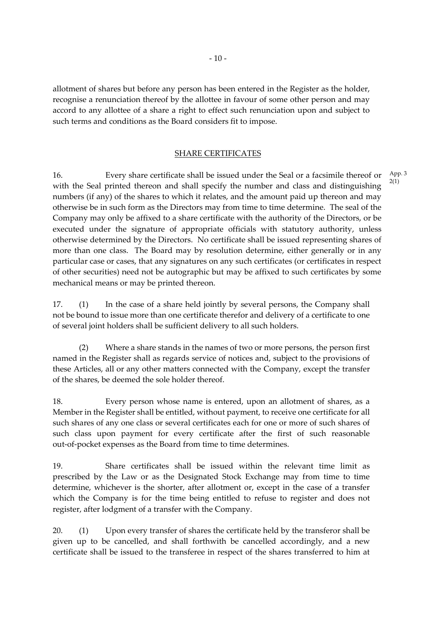allotment of shares but before any person has been entered in the Register as the holder, recognise a renunciation thereof by the allottee in favour of some other person and may accord to any allottee of a share a right to effect such renunciation upon and subject to such terms and conditions as the Board considers fit to impose.

### SHARE CERTIFICATES

16. Every share certificate shall be issued under the Seal or a facsimile thereof or with the Seal printed thereon and shall specify the number and class and distinguishing numbers (if any) of the shares to which it relates, and the amount paid up thereon and may otherwise be in such form as the Directors may from time to time determine. The seal of the Company may only be affixed to a share certificate with the authority of the Directors, or be executed under the signature of appropriate officials with statutory authority, unless otherwise determined by the Directors. No certificate shall be issued representing shares of more than one class. The Board may by resolution determine, either generally or in any particular case or cases, that any signatures on any such certificates (or certificates in respect of other securities) need not be autographic but may be affixed to such certificates by some mechanical means or may be printed thereon.

17. (1) In the case of a share held jointly by several persons, the Company shall not be bound to issue more than one certificate therefor and delivery of a certificate to one of several joint holders shall be sufficient delivery to all such holders.

(2) Where a share stands in the names of two or more persons, the person first named in the Register shall as regards service of notices and, subject to the provisions of these Articles, all or any other matters connected with the Company, except the transfer of the shares, be deemed the sole holder thereof.

18. Every person whose name is entered, upon an allotment of shares, as a Member in the Register shall be entitled, without payment, to receive one certificate for all such shares of any one class or several certificates each for one or more of such shares of such class upon payment for every certificate after the first of such reasonable out-of-pocket expenses as the Board from time to time determines.

19. Share certificates shall be issued within the relevant time limit as prescribed by the Law or as the Designated Stock Exchange may from time to time determine, whichever is the shorter, after allotment or, except in the case of a transfer which the Company is for the time being entitled to refuse to register and does not register, after lodgment of a transfer with the Company.

20. (1) Upon every transfer of shares the certificate held by the transferor shall be given up to be cancelled, and shall forthwith be cancelled accordingly, and a new certificate shall be issued to the transferee in respect of the shares transferred to him at App. 3 2(1)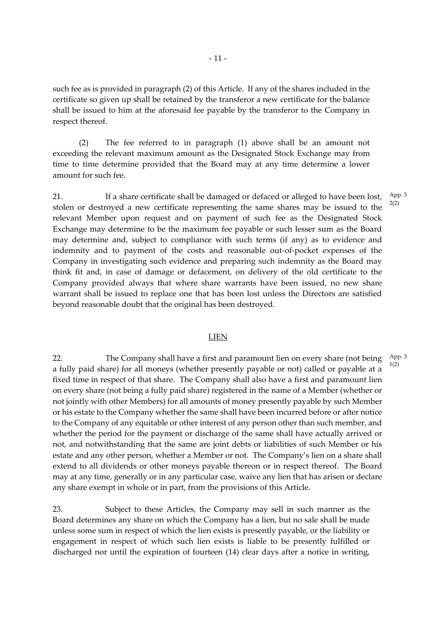such fee as is provided in paragraph (2) of this Article. If any of the shares included in the certificate so given up shall be retained by the transferor a new certificate for the balance shall be issued to him at the aforesaid fee payable by the transferor to the Company in respect thereof.

(2) The fee referred to in paragraph (1) above shall be an amount not exceeding the relevant maximum amount as the Designated Stock Exchange may from time to time determine provided that the Board may at any time determine a lower amount for such fee.

21. If a share certificate shall be damaged or defaced or alleged to have been lost, stolen or destroyed a new certificate representing the same shares may be issued to the relevant Member upon request and on payment of such fee as the Designated Stock Exchange may determine to be the maximum fee payable or such lesser sum as the Board may determine and, subject to compliance with such terms (if any) as to evidence and indemnity and to payment of the costs and reasonable out-of-pocket expenses of the Company in investigating such evidence and preparing such indemnity as the Board may think fit and, in case of damage or defacement, on delivery of the old certificate to the Company provided always that where share warrants have been issued, no new share warrant shall be issued to replace one that has been lost unless the Directors are satisfied beyond reasonable doubt that the original has been destroyed.

#### LIEN

22. The Company shall have a first and paramount lien on every share (not being a fully paid share) for all moneys (whether presently payable or not) called or payable at a fixed time in respect of that share. The Company shall also have a first and paramount lien on every share (not being a fully paid share) registered in the name of a Member (whether or not jointly with other Members) for all amounts of money presently payable by such Member or his estate to the Company whether the same shall have been incurred before or after notice to the Company of any equitable or other interest of any person other than such member, and whether the period for the payment or discharge of the same shall have actually arrived or not, and notwithstanding that the same are joint debts or liabilities of such Member or his estate and any other person, whether a Member or not. The Company's lien on a share shall extend to all dividends or other moneys payable thereon or in respect thereof. The Board may at any time, generally or in any particular case, waive any lien that has arisen or declare any share exempt in whole or in part, from the provisions of this Article. App. 3 1(2)

23. Subject to these Articles, the Company may sell in such manner as the Board determines any share on which the Company has a lien, but no sale shall be made unless some sum in respect of which the lien exists is presently payable, or the liability or engagement in respect of which such lien exists is liable to be presently fulfilled or discharged nor until the expiration of fourteen (14) clear days after a notice in writing,

App. 3 2(2)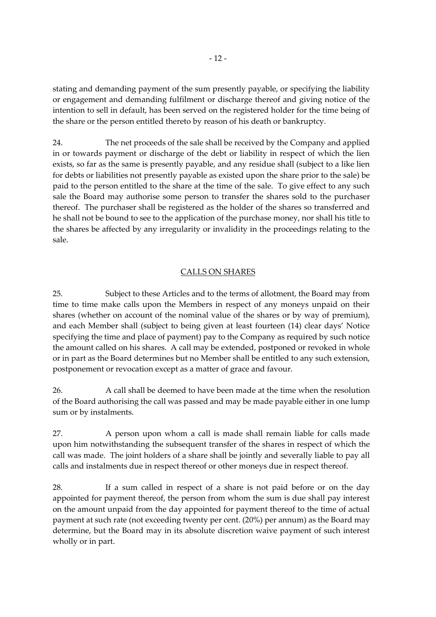stating and demanding payment of the sum presently payable, or specifying the liability or engagement and demanding fulfilment or discharge thereof and giving notice of the intention to sell in default, has been served on the registered holder for the time being of the share or the person entitled thereto by reason of his death or bankruptcy.

24. The net proceeds of the sale shall be received by the Company and applied in or towards payment or discharge of the debt or liability in respect of which the lien exists, so far as the same is presently payable, and any residue shall (subject to a like lien for debts or liabilities not presently payable as existed upon the share prior to the sale) be paid to the person entitled to the share at the time of the sale. To give effect to any such sale the Board may authorise some person to transfer the shares sold to the purchaser thereof. The purchaser shall be registered as the holder of the shares so transferred and he shall not be bound to see to the application of the purchase money, nor shall his title to the shares be affected by any irregularity or invalidity in the proceedings relating to the sale.

# CALLS ON SHARES

25. Subject to these Articles and to the terms of allotment, the Board may from time to time make calls upon the Members in respect of any moneys unpaid on their shares (whether on account of the nominal value of the shares or by way of premium), and each Member shall (subject to being given at least fourteen (14) clear days' Notice specifying the time and place of payment) pay to the Company as required by such notice the amount called on his shares. A call may be extended, postponed or revoked in whole or in part as the Board determines but no Member shall be entitled to any such extension, postponement or revocation except as a matter of grace and favour.

26. A call shall be deemed to have been made at the time when the resolution of the Board authorising the call was passed and may be made payable either in one lump sum or by instalments.

27. A person upon whom a call is made shall remain liable for calls made upon him notwithstanding the subsequent transfer of the shares in respect of which the call was made. The joint holders of a share shall be jointly and severally liable to pay all calls and instalments due in respect thereof or other moneys due in respect thereof.

28. If a sum called in respect of a share is not paid before or on the day appointed for payment thereof, the person from whom the sum is due shall pay interest on the amount unpaid from the day appointed for payment thereof to the time of actual payment at such rate (not exceeding twenty per cent. (20%) per annum) as the Board may determine, but the Board may in its absolute discretion waive payment of such interest wholly or in part.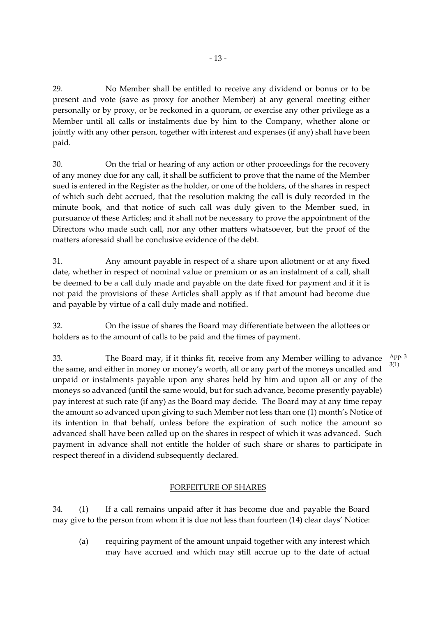29. No Member shall be entitled to receive any dividend or bonus or to be present and vote (save as proxy for another Member) at any general meeting either personally or by proxy, or be reckoned in a quorum, or exercise any other privilege as a Member until all calls or instalments due by him to the Company, whether alone or jointly with any other person, together with interest and expenses (if any) shall have been paid.

30. On the trial or hearing of any action or other proceedings for the recovery of any money due for any call, it shall be sufficient to prove that the name of the Member sued is entered in the Register as the holder, or one of the holders, of the shares in respect of which such debt accrued, that the resolution making the call is duly recorded in the minute book, and that notice of such call was duly given to the Member sued, in pursuance of these Articles; and it shall not be necessary to prove the appointment of the Directors who made such call, nor any other matters whatsoever, but the proof of the matters aforesaid shall be conclusive evidence of the debt.

31. Any amount payable in respect of a share upon allotment or at any fixed date, whether in respect of nominal value or premium or as an instalment of a call, shall be deemed to be a call duly made and payable on the date fixed for payment and if it is not paid the provisions of these Articles shall apply as if that amount had become due and payable by virtue of a call duly made and notified.

32. On the issue of shares the Board may differentiate between the allottees or holders as to the amount of calls to be paid and the times of payment.

33. The Board may, if it thinks fit, receive from any Member willing to advance the same, and either in money or money's worth, all or any part of the moneys uncalled and unpaid or instalments payable upon any shares held by him and upon all or any of the moneys so advanced (until the same would, but for such advance, become presently payable) pay interest at such rate (if any) as the Board may decide. The Board may at any time repay the amount so advanced upon giving to such Member not less than one (1) month's Notice of its intention in that behalf, unless before the expiration of such notice the amount so advanced shall have been called up on the shares in respect of which it was advanced. Such payment in advance shall not entitle the holder of such share or shares to participate in respect thereof in a dividend subsequently declared. App. 3 3(1)

# FORFEITURE OF SHARES

34. (1) If a call remains unpaid after it has become due and payable the Board may give to the person from whom it is due not less than fourteen (14) clear days' Notice:

(a) requiring payment of the amount unpaid together with any interest which may have accrued and which may still accrue up to the date of actual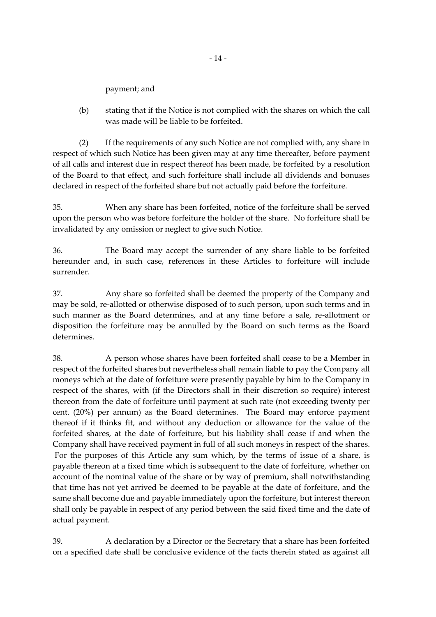payment; and

(b) stating that if the Notice is not complied with the shares on which the call was made will be liable to be forfeited.

(2) If the requirements of any such Notice are not complied with, any share in respect of which such Notice has been given may at any time thereafter, before payment of all calls and interest due in respect thereof has been made, be forfeited by a resolution of the Board to that effect, and such forfeiture shall include all dividends and bonuses declared in respect of the forfeited share but not actually paid before the forfeiture.

35. When any share has been forfeited, notice of the forfeiture shall be served upon the person who was before forfeiture the holder of the share. No forfeiture shall be invalidated by any omission or neglect to give such Notice.

36. The Board may accept the surrender of any share liable to be forfeited hereunder and, in such case, references in these Articles to forfeiture will include surrender.

37. Any share so forfeited shall be deemed the property of the Company and may be sold, re-allotted or otherwise disposed of to such person, upon such terms and in such manner as the Board determines, and at any time before a sale, re-allotment or disposition the forfeiture may be annulled by the Board on such terms as the Board determines.

38. A person whose shares have been forfeited shall cease to be a Member in respect of the forfeited shares but nevertheless shall remain liable to pay the Company all moneys which at the date of forfeiture were presently payable by him to the Company in respect of the shares, with (if the Directors shall in their discretion so require) interest thereon from the date of forfeiture until payment at such rate (not exceeding twenty per cent. (20%) per annum) as the Board determines. The Board may enforce payment thereof if it thinks fit, and without any deduction or allowance for the value of the forfeited shares, at the date of forfeiture, but his liability shall cease if and when the Company shall have received payment in full of all such moneys in respect of the shares. For the purposes of this Article any sum which, by the terms of issue of a share, is payable thereon at a fixed time which is subsequent to the date of forfeiture, whether on account of the nominal value of the share or by way of premium, shall notwithstanding that time has not yet arrived be deemed to be payable at the date of forfeiture, and the same shall become due and payable immediately upon the forfeiture, but interest thereon shall only be payable in respect of any period between the said fixed time and the date of actual payment.

39. A declaration by a Director or the Secretary that a share has been forfeited on a specified date shall be conclusive evidence of the facts therein stated as against all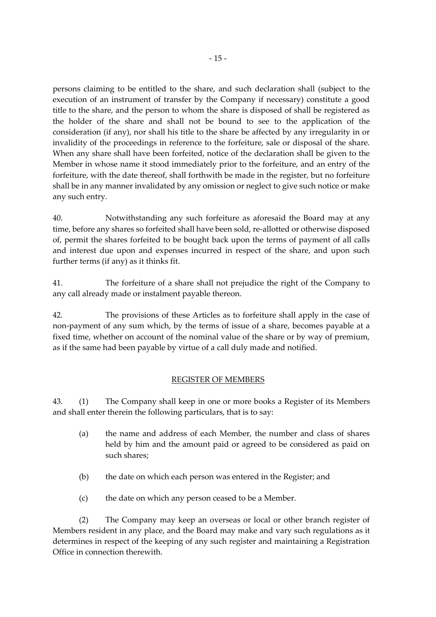persons claiming to be entitled to the share, and such declaration shall (subject to the execution of an instrument of transfer by the Company if necessary) constitute a good title to the share, and the person to whom the share is disposed of shall be registered as the holder of the share and shall not be bound to see to the application of the consideration (if any), nor shall his title to the share be affected by any irregularity in or invalidity of the proceedings in reference to the forfeiture, sale or disposal of the share. When any share shall have been forfeited, notice of the declaration shall be given to the Member in whose name it stood immediately prior to the forfeiture, and an entry of the forfeiture, with the date thereof, shall forthwith be made in the register, but no forfeiture shall be in any manner invalidated by any omission or neglect to give such notice or make any such entry.

40. Notwithstanding any such forfeiture as aforesaid the Board may at any time, before any shares so forfeited shall have been sold, re-allotted or otherwise disposed of, permit the shares forfeited to be bought back upon the terms of payment of all calls and interest due upon and expenses incurred in respect of the share, and upon such further terms (if any) as it thinks fit.

41. The forfeiture of a share shall not prejudice the right of the Company to any call already made or instalment payable thereon.

42. The provisions of these Articles as to forfeiture shall apply in the case of non-payment of any sum which, by the terms of issue of a share, becomes payable at a fixed time, whether on account of the nominal value of the share or by way of premium, as if the same had been payable by virtue of a call duly made and notified.

# REGISTER OF MEMBERS

43. (1) The Company shall keep in one or more books a Register of its Members and shall enter therein the following particulars, that is to say:

- (a) the name and address of each Member, the number and class of shares held by him and the amount paid or agreed to be considered as paid on such shares;
- (b) the date on which each person was entered in the Register; and
- (c) the date on which any person ceased to be a Member.

(2) The Company may keep an overseas or local or other branch register of Members resident in any place, and the Board may make and vary such regulations as it determines in respect of the keeping of any such register and maintaining a Registration Office in connection therewith.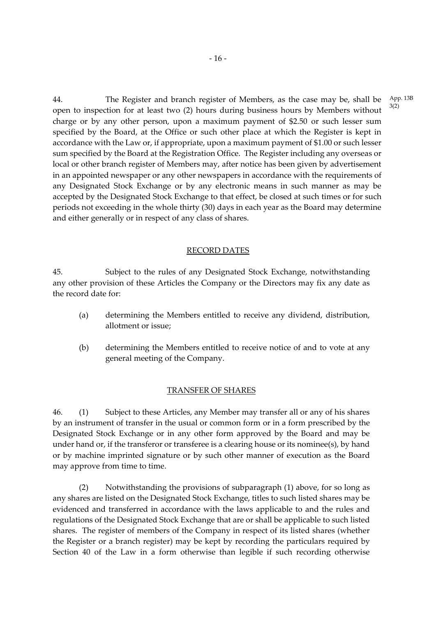44. The Register and branch register of Members, as the case may be, shall be open to inspection for at least two (2) hours during business hours by Members without charge or by any other person, upon a maximum payment of \$2.50 or such lesser sum specified by the Board, at the Office or such other place at which the Register is kept in accordance with the Law or, if appropriate, upon a maximum payment of \$1.00 or such lesser sum specified by the Board at the Registration Office. The Register including any overseas or local or other branch register of Members may, after notice has been given by advertisement in an appointed newspaper or any other newspapers in accordance with the requirements of any Designated Stock Exchange or by any electronic means in such manner as may be accepted by the Designated Stock Exchange to that effect, be closed at such times or for such periods not exceeding in the whole thirty (30) days in each year as the Board may determine and either generally or in respect of any class of shares.

#### RECORD DATES

45. Subject to the rules of any Designated Stock Exchange, notwithstanding any other provision of these Articles the Company or the Directors may fix any date as the record date for:

- (a) determining the Members entitled to receive any dividend, distribution, allotment or issue;
- (b) determining the Members entitled to receive notice of and to vote at any general meeting of the Company.

#### TRANSFER OF SHARES

46. (1) Subject to these Articles, any Member may transfer all or any of his shares by an instrument of transfer in the usual or common form or in a form prescribed by the Designated Stock Exchange or in any other form approved by the Board and may be under hand or, if the transferor or transferee is a clearing house or its nominee(s), by hand or by machine imprinted signature or by such other manner of execution as the Board may approve from time to time.

(2) Notwithstanding the provisions of subparagraph (1) above, for so long as any shares are listed on the Designated Stock Exchange, titles to such listed shares may be evidenced and transferred in accordance with the laws applicable to and the rules and regulations of the Designated Stock Exchange that are or shall be applicable to such listed shares. The register of members of the Company in respect of its listed shares (whether the Register or a branch register) may be kept by recording the particulars required by Section 40 of the Law in a form otherwise than legible if such recording otherwise

App. 13B 3(2)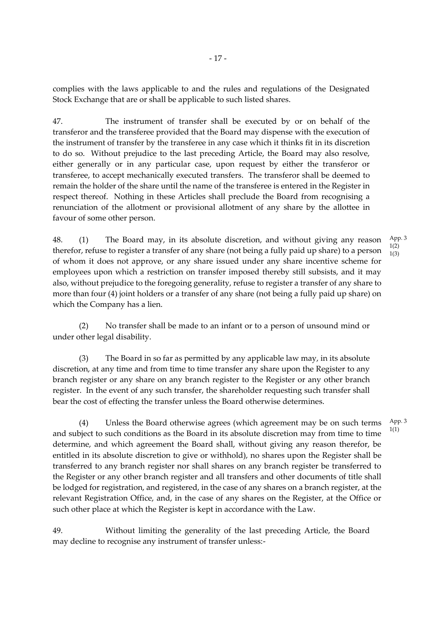complies with the laws applicable to and the rules and regulations of the Designated Stock Exchange that are or shall be applicable to such listed shares.

47. The instrument of transfer shall be executed by or on behalf of the transferor and the transferee provided that the Board may dispense with the execution of the instrument of transfer by the transferee in any case which it thinks fit in its discretion to do so. Without prejudice to the last preceding Article, the Board may also resolve, either generally or in any particular case, upon request by either the transferor or transferee, to accept mechanically executed transfers. The transferor shall be deemed to remain the holder of the share until the name of the transferee is entered in the Register in respect thereof. Nothing in these Articles shall preclude the Board from recognising a renunciation of the allotment or provisional allotment of any share by the allottee in favour of some other person.

48. (1) The Board may, in its absolute discretion, and without giving any reason therefor, refuse to register a transfer of any share (not being a fully paid up share) to a person of whom it does not approve, or any share issued under any share incentive scheme for employees upon which a restriction on transfer imposed thereby still subsists, and it may also, without prejudice to the foregoing generality, refuse to register a transfer of any share to more than four (4) joint holders or a transfer of any share (not being a fully paid up share) on which the Company has a lien. App. 3 1(2) 1(3)

(2) No transfer shall be made to an infant or to a person of unsound mind or under other legal disability.

(3) The Board in so far as permitted by any applicable law may, in its absolute discretion, at any time and from time to time transfer any share upon the Register to any branch register or any share on any branch register to the Register or any other branch register. In the event of any such transfer, the shareholder requesting such transfer shall bear the cost of effecting the transfer unless the Board otherwise determines.

(4) Unless the Board otherwise agrees (which agreement may be on such terms and subject to such conditions as the Board in its absolute discretion may from time to time determine, and which agreement the Board shall, without giving any reason therefor, be entitled in its absolute discretion to give or withhold), no shares upon the Register shall be transferred to any branch register nor shall shares on any branch register be transferred to the Register or any other branch register and all transfers and other documents of title shall be lodged for registration, and registered, in the case of any shares on a branch register, at the relevant Registration Office, and, in the case of any shares on the Register, at the Office or such other place at which the Register is kept in accordance with the Law. App. 3

49. Without limiting the generality of the last preceding Article, the Board may decline to recognise any instrument of transfer unless:-

1(1)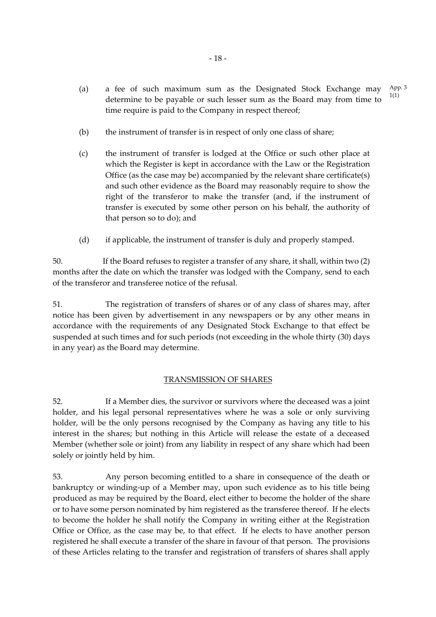- (a) a fee of such maximum sum as the Designated Stock Exchange may determine to be payable or such lesser sum as the Board may from time to time require is paid to the Company in respect thereof; App. 3 1(1)
- (b) the instrument of transfer is in respect of only one class of share;
- (c) the instrument of transfer is lodged at the Office or such other place at which the Register is kept in accordance with the Law or the Registration Office (as the case may be) accompanied by the relevant share certificate(s) and such other evidence as the Board may reasonably require to show the right of the transferor to make the transfer (and, if the instrument of transfer is executed by some other person on his behalf, the authority of that person so to do); and
- (d) if applicable, the instrument of transfer is duly and properly stamped.

50. If the Board refuses to register a transfer of any share, it shall, within two (2) months after the date on which the transfer was lodged with the Company, send to each of the transferor and transferee notice of the refusal.

51. The registration of transfers of shares or of any class of shares may, after notice has been given by advertisement in any newspapers or by any other means in accordance with the requirements of any Designated Stock Exchange to that effect be suspended at such times and for such periods (not exceeding in the whole thirty (30) days in any year) as the Board may determine.

# TRANSMISSION OF SHARES

52. If a Member dies, the survivor or survivors where the deceased was a joint holder, and his legal personal representatives where he was a sole or only surviving holder, will be the only persons recognised by the Company as having any title to his interest in the shares; but nothing in this Article will release the estate of a deceased Member (whether sole or joint) from any liability in respect of any share which had been solely or jointly held by him.

53. Any person becoming entitled to a share in consequence of the death or bankruptcy or winding-up of a Member may, upon such evidence as to his title being produced as may be required by the Board, elect either to become the holder of the share or to have some person nominated by him registered as the transferee thereof. If he elects to become the holder he shall notify the Company in writing either at the Registration Office or Office, as the case may be, to that effect. If he elects to have another person registered he shall execute a transfer of the share in favour of that person. The provisions of these Articles relating to the transfer and registration of transfers of shares shall apply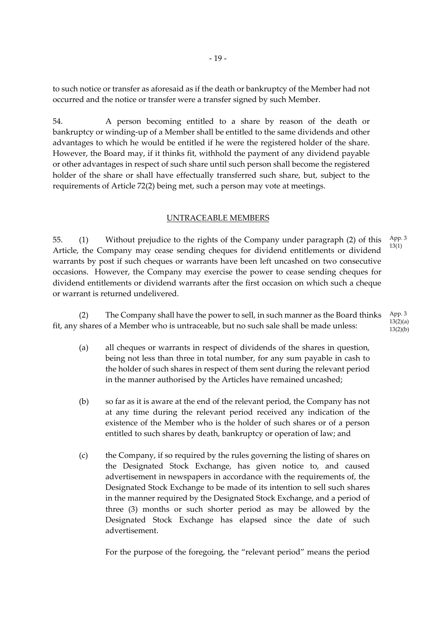to such notice or transfer as aforesaid as if the death or bankruptcy of the Member had not occurred and the notice or transfer were a transfer signed by such Member.

54. A person becoming entitled to a share by reason of the death or bankruptcy or winding-up of a Member shall be entitled to the same dividends and other advantages to which he would be entitled if he were the registered holder of the share. However, the Board may, if it thinks fit, withhold the payment of any dividend payable or other advantages in respect of such share until such person shall become the registered holder of the share or shall have effectually transferred such share, but, subject to the requirements of Article 72(2) being met, such a person may vote at meetings.

#### UNTRACEABLE MEMBERS

55. (1) Without prejudice to the rights of the Company under paragraph (2) of this Article, the Company may cease sending cheques for dividend entitlements or dividend warrants by post if such cheques or warrants have been left uncashed on two consecutive occasions. However, the Company may exercise the power to cease sending cheques for dividend entitlements or dividend warrants after the first occasion on which such a cheque or warrant is returned undelivered. App. 3 13(1)

(2) The Company shall have the power to sell, in such manner as the Board thinks fit, any shares of a Member who is untraceable, but no such sale shall be made unless: App. 3 13(2)(a)  $13(2)(b)$ 

- (a) all cheques or warrants in respect of dividends of the shares in question, being not less than three in total number, for any sum payable in cash to the holder of such shares in respect of them sent during the relevant period in the manner authorised by the Articles have remained uncashed;
- (b) so far as it is aware at the end of the relevant period, the Company has not at any time during the relevant period received any indication of the existence of the Member who is the holder of such shares or of a person entitled to such shares by death, bankruptcy or operation of law; and
- (c) the Company, if so required by the rules governing the listing of shares on the Designated Stock Exchange, has given notice to, and caused advertisement in newspapers in accordance with the requirements of, the Designated Stock Exchange to be made of its intention to sell such shares in the manner required by the Designated Stock Exchange, and a period of three (3) months or such shorter period as may be allowed by the Designated Stock Exchange has elapsed since the date of such advertisement.

For the purpose of the foregoing, the "relevant period" means the period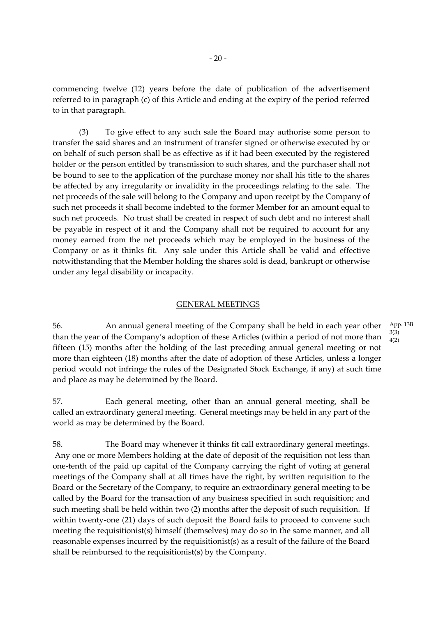commencing twelve (12) years before the date of publication of the advertisement referred to in paragraph (c) of this Article and ending at the expiry of the period referred to in that paragraph.

(3) To give effect to any such sale the Board may authorise some person to transfer the said shares and an instrument of transfer signed or otherwise executed by or on behalf of such person shall be as effective as if it had been executed by the registered holder or the person entitled by transmission to such shares, and the purchaser shall not be bound to see to the application of the purchase money nor shall his title to the shares be affected by any irregularity or invalidity in the proceedings relating to the sale. The net proceeds of the sale will belong to the Company and upon receipt by the Company of such net proceeds it shall become indebted to the former Member for an amount equal to such net proceeds. No trust shall be created in respect of such debt and no interest shall be payable in respect of it and the Company shall not be required to account for any money earned from the net proceeds which may be employed in the business of the Company or as it thinks fit. Any sale under this Article shall be valid and effective notwithstanding that the Member holding the shares sold is dead, bankrupt or otherwise under any legal disability or incapacity.

#### GENERAL MEETINGS

56. An annual general meeting of the Company shall be held in each year other than the year of the Company's adoption of these Articles (within a period of not more than fifteen (15) months after the holding of the last preceding annual general meeting or not more than eighteen (18) months after the date of adoption of these Articles, unless a longer period would not infringe the rules of the Designated Stock Exchange, if any) at such time and place as may be determined by the Board.

57. Each general meeting, other than an annual general meeting, shall be called an extraordinary general meeting. General meetings may be held in any part of the world as may be determined by the Board.

58. The Board may whenever it thinks fit call extraordinary general meetings. Any one or more Members holding at the date of deposit of the requisition not less than one-tenth of the paid up capital of the Company carrying the right of voting at general meetings of the Company shall at all times have the right, by written requisition to the Board or the Secretary of the Company, to require an extraordinary general meeting to be called by the Board for the transaction of any business specified in such requisition; and such meeting shall be held within two (2) months after the deposit of such requisition. If within twenty-one (21) days of such deposit the Board fails to proceed to convene such meeting the requisitionist(s) himself (themselves) may do so in the same manner, and all reasonable expenses incurred by the requisitionist(s) as a result of the failure of the Board shall be reimbursed to the requisitionist(s) by the Company.

App. 13B 3(3) 4(2)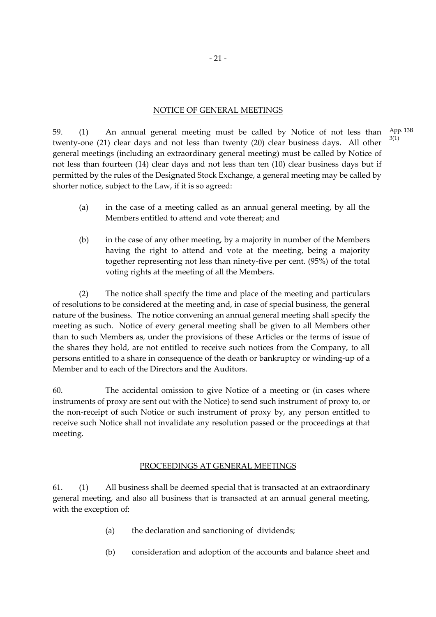# NOTICE OF GENERAL MEETINGS

59. (1) An annual general meeting must be called by Notice of not less than twenty-one (21) clear days and not less than twenty (20) clear business days. All other general meetings (including an extraordinary general meeting) must be called by Notice of not less than fourteen (14) clear days and not less than ten (10) clear business days but if permitted by the rules of the Designated Stock Exchange, a general meeting may be called by shorter notice, subject to the Law, if it is so agreed:

- (a) in the case of a meeting called as an annual general meeting, by all the Members entitled to attend and vote thereat; and
- (b) in the case of any other meeting, by a majority in number of the Members having the right to attend and vote at the meeting, being a majority together representing not less than ninety-five per cent. (95%) of the total voting rights at the meeting of all the Members.

(2) The notice shall specify the time and place of the meeting and particulars of resolutions to be considered at the meeting and, in case of special business, the general nature of the business. The notice convening an annual general meeting shall specify the meeting as such. Notice of every general meeting shall be given to all Members other than to such Members as, under the provisions of these Articles or the terms of issue of the shares they hold, are not entitled to receive such notices from the Company, to all persons entitled to a share in consequence of the death or bankruptcy or winding-up of a Member and to each of the Directors and the Auditors.

60. The accidental omission to give Notice of a meeting or (in cases where instruments of proxy are sent out with the Notice) to send such instrument of proxy to, or the non-receipt of such Notice or such instrument of proxy by, any person entitled to receive such Notice shall not invalidate any resolution passed or the proceedings at that meeting.

# PROCEEDINGS AT GENERAL MEETINGS

61. (1) All business shall be deemed special that is transacted at an extraordinary general meeting, and also all business that is transacted at an annual general meeting, with the exception of:

- (a) the declaration and sanctioning of dividends;
- (b) consideration and adoption of the accounts and balance sheet and

App. 13B 3(1)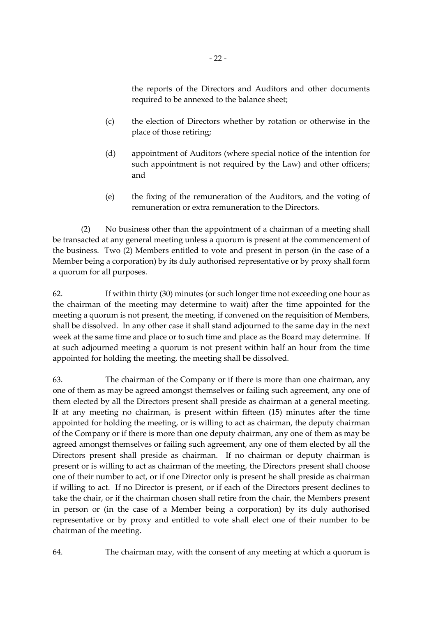the reports of the Directors and Auditors and other documents required to be annexed to the balance sheet;

- (c) the election of Directors whether by rotation or otherwise in the place of those retiring;
- (d) appointment of Auditors (where special notice of the intention for such appointment is not required by the Law) and other officers; and
- (e) the fixing of the remuneration of the Auditors, and the voting of remuneration or extra remuneration to the Directors.

(2) No business other than the appointment of a chairman of a meeting shall be transacted at any general meeting unless a quorum is present at the commencement of the business. Two (2) Members entitled to vote and present in person (in the case of a Member being a corporation) by its duly authorised representative or by proxy shall form a quorum for all purposes.

62. If within thirty (30) minutes (or such longer time not exceeding one hour as the chairman of the meeting may determine to wait) after the time appointed for the meeting a quorum is not present, the meeting, if convened on the requisition of Members, shall be dissolved. In any other case it shall stand adjourned to the same day in the next week at the same time and place or to such time and place as the Board may determine. If at such adjourned meeting a quorum is not present within half an hour from the time appointed for holding the meeting, the meeting shall be dissolved.

63. The chairman of the Company or if there is more than one chairman, any one of them as may be agreed amongst themselves or failing such agreement, any one of them elected by all the Directors present shall preside as chairman at a general meeting. If at any meeting no chairman, is present within fifteen (15) minutes after the time appointed for holding the meeting, or is willing to act as chairman, the deputy chairman of the Company or if there is more than one deputy chairman, any one of them as may be agreed amongst themselves or failing such agreement, any one of them elected by all the Directors present shall preside as chairman. If no chairman or deputy chairman is present or is willing to act as chairman of the meeting, the Directors present shall choose one of their number to act, or if one Director only is present he shall preside as chairman if willing to act. If no Director is present, or if each of the Directors present declines to take the chair, or if the chairman chosen shall retire from the chair, the Members present in person or (in the case of a Member being a corporation) by its duly authorised representative or by proxy and entitled to vote shall elect one of their number to be chairman of the meeting.

64. The chairman may, with the consent of any meeting at which a quorum is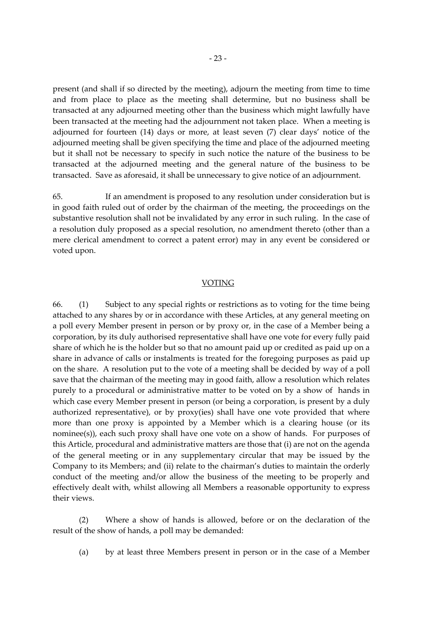present (and shall if so directed by the meeting), adjourn the meeting from time to time and from place to place as the meeting shall determine, but no business shall be transacted at any adjourned meeting other than the business which might lawfully have been transacted at the meeting had the adjournment not taken place. When a meeting is adjourned for fourteen (14) days or more, at least seven (7) clear days' notice of the adjourned meeting shall be given specifying the time and place of the adjourned meeting but it shall not be necessary to specify in such notice the nature of the business to be transacted at the adjourned meeting and the general nature of the business to be transacted. Save as aforesaid, it shall be unnecessary to give notice of an adjournment.

65. If an amendment is proposed to any resolution under consideration but is in good faith ruled out of order by the chairman of the meeting, the proceedings on the substantive resolution shall not be invalidated by any error in such ruling. In the case of a resolution duly proposed as a special resolution, no amendment thereto (other than a mere clerical amendment to correct a patent error) may in any event be considered or voted upon.

#### **VOTING**

66. (1) Subject to any special rights or restrictions as to voting for the time being attached to any shares by or in accordance with these Articles, at any general meeting on a poll every Member present in person or by proxy or, in the case of a Member being a corporation, by its duly authorised representative shall have one vote for every fully paid share of which he is the holder but so that no amount paid up or credited as paid up on a share in advance of calls or instalments is treated for the foregoing purposes as paid up on the share. A resolution put to the vote of a meeting shall be decided by way of a poll save that the chairman of the meeting may in good faith, allow a resolution which relates purely to a procedural or administrative matter to be voted on by a show of hands in which case every Member present in person (or being a corporation, is present by a duly authorized representative), or by proxy(ies) shall have one vote provided that where more than one proxy is appointed by a Member which is a clearing house (or its nominee(s)), each such proxy shall have one vote on a show of hands. For purposes of this Article, procedural and administrative matters are those that (i) are not on the agenda of the general meeting or in any supplementary circular that may be issued by the Company to its Members; and (ii) relate to the chairman's duties to maintain the orderly conduct of the meeting and/or allow the business of the meeting to be properly and effectively dealt with, whilst allowing all Members a reasonable opportunity to express their views.

(2) Where a show of hands is allowed, before or on the declaration of the result of the show of hands, a poll may be demanded:

(a) by at least three Members present in person or in the case of a Member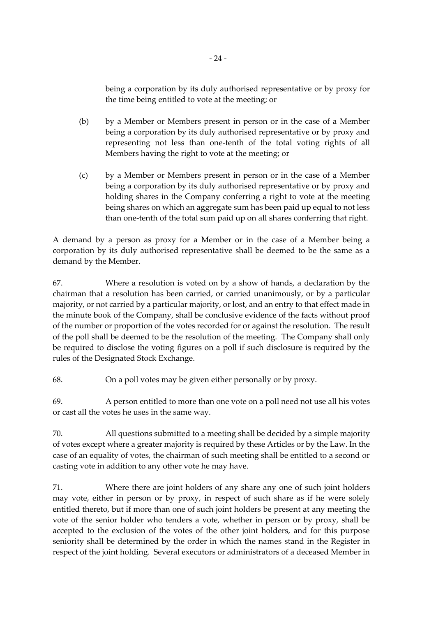being a corporation by its duly authorised representative or by proxy for the time being entitled to vote at the meeting; or

- (b) by a Member or Members present in person or in the case of a Member being a corporation by its duly authorised representative or by proxy and representing not less than one-tenth of the total voting rights of all Members having the right to vote at the meeting; or
- (c) by a Member or Members present in person or in the case of a Member being a corporation by its duly authorised representative or by proxy and holding shares in the Company conferring a right to vote at the meeting being shares on which an aggregate sum has been paid up equal to not less than one-tenth of the total sum paid up on all shares conferring that right.

A demand by a person as proxy for a Member or in the case of a Member being a corporation by its duly authorised representative shall be deemed to be the same as a demand by the Member.

67. Where a resolution is voted on by a show of hands, a declaration by the chairman that a resolution has been carried, or carried unanimously, or by a particular majority, or not carried by a particular majority, or lost, and an entry to that effect made in the minute book of the Company, shall be conclusive evidence of the facts without proof of the number or proportion of the votes recorded for or against the resolution. The result of the poll shall be deemed to be the resolution of the meeting. The Company shall only be required to disclose the voting figures on a poll if such disclosure is required by the rules of the Designated Stock Exchange.

68. On a poll votes may be given either personally or by proxy.

69. A person entitled to more than one vote on a poll need not use all his votes or cast all the votes he uses in the same way.

70. All questions submitted to a meeting shall be decided by a simple majority of votes except where a greater majority is required by these Articles or by the Law. In the case of an equality of votes, the chairman of such meeting shall be entitled to a second or casting vote in addition to any other vote he may have.

71. Where there are joint holders of any share any one of such joint holders may vote, either in person or by proxy, in respect of such share as if he were solely entitled thereto, but if more than one of such joint holders be present at any meeting the vote of the senior holder who tenders a vote, whether in person or by proxy, shall be accepted to the exclusion of the votes of the other joint holders, and for this purpose seniority shall be determined by the order in which the names stand in the Register in respect of the joint holding. Several executors or administrators of a deceased Member in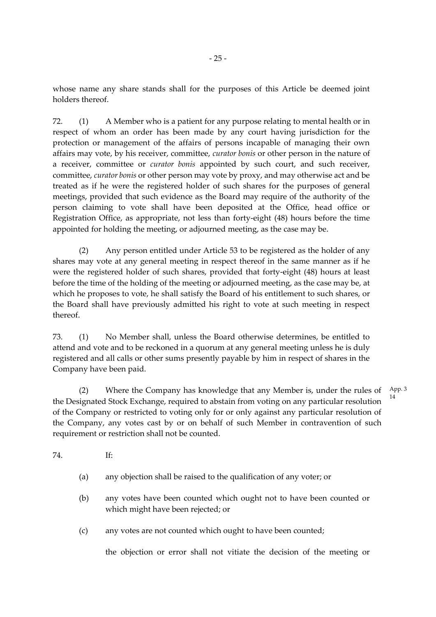whose name any share stands shall for the purposes of this Article be deemed joint holders thereof.

72. (1) A Member who is a patient for any purpose relating to mental health or in respect of whom an order has been made by any court having jurisdiction for the protection or management of the affairs of persons incapable of managing their own affairs may vote, by his receiver, committee, *curator bonis* or other person in the nature of a receiver, committee or *curator bonis* appointed by such court, and such receiver, committee, *curator bonis* or other person may vote by proxy, and may otherwise act and be treated as if he were the registered holder of such shares for the purposes of general meetings, provided that such evidence as the Board may require of the authority of the person claiming to vote shall have been deposited at the Office, head office or Registration Office, as appropriate, not less than forty-eight (48) hours before the time appointed for holding the meeting, or adjourned meeting, as the case may be.

(2) Any person entitled under Article 53 to be registered as the holder of any shares may vote at any general meeting in respect thereof in the same manner as if he were the registered holder of such shares, provided that forty-eight (48) hours at least before the time of the holding of the meeting or adjourned meeting, as the case may be, at which he proposes to vote, he shall satisfy the Board of his entitlement to such shares, or the Board shall have previously admitted his right to vote at such meeting in respect thereof.

73. (1) No Member shall, unless the Board otherwise determines, be entitled to attend and vote and to be reckoned in a quorum at any general meeting unless he is duly registered and all calls or other sums presently payable by him in respect of shares in the Company have been paid.

(2) Where the Company has knowledge that any Member is, under the rules of  $App.3$ the Designated Stock Exchange, required to abstain from voting on any particular resolution of the Company or restricted to voting only for or only against any particular resolution of the Company, any votes cast by or on behalf of such Member in contravention of such requirement or restriction shall not be counted. 14

74. If:

- (a) any objection shall be raised to the qualification of any voter; or
- (b) any votes have been counted which ought not to have been counted or which might have been rejected; or
- (c) any votes are not counted which ought to have been counted;

the objection or error shall not vitiate the decision of the meeting or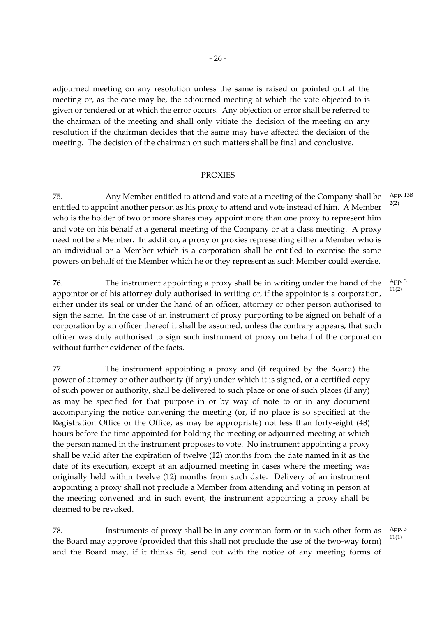adjourned meeting on any resolution unless the same is raised or pointed out at the meeting or, as the case may be, the adjourned meeting at which the vote objected to is given or tendered or at which the error occurs. Any objection or error shall be referred to the chairman of the meeting and shall only vitiate the decision of the meeting on any resolution if the chairman decides that the same may have affected the decision of the meeting. The decision of the chairman on such matters shall be final and conclusive.

#### PROXIES

75. Any Member entitled to attend and vote at a meeting of the Company shall be entitled to appoint another person as his proxy to attend and vote instead of him. A Member who is the holder of two or more shares may appoint more than one proxy to represent him and vote on his behalf at a general meeting of the Company or at a class meeting. A proxy need not be a Member. In addition, a proxy or proxies representing either a Member who is an individual or a Member which is a corporation shall be entitled to exercise the same powers on behalf of the Member which he or they represent as such Member could exercise. App. 13B 2(2)

76. The instrument appointing a proxy shall be in writing under the hand of the appointor or of his attorney duly authorised in writing or, if the appointor is a corporation, either under its seal or under the hand of an officer, attorney or other person authorised to sign the same. In the case of an instrument of proxy purporting to be signed on behalf of a corporation by an officer thereof it shall be assumed, unless the contrary appears, that such officer was duly authorised to sign such instrument of proxy on behalf of the corporation without further evidence of the facts.

77. The instrument appointing a proxy and (if required by the Board) the power of attorney or other authority (if any) under which it is signed, or a certified copy of such power or authority, shall be delivered to such place or one of such places (if any) as may be specified for that purpose in or by way of note to or in any document accompanying the notice convening the meeting (or, if no place is so specified at the Registration Office or the Office, as may be appropriate) not less than forty-eight (48) hours before the time appointed for holding the meeting or adjourned meeting at which the person named in the instrument proposes to vote. No instrument appointing a proxy shall be valid after the expiration of twelve (12) months from the date named in it as the date of its execution, except at an adjourned meeting in cases where the meeting was originally held within twelve (12) months from such date. Delivery of an instrument appointing a proxy shall not preclude a Member from attending and voting in person at the meeting convened and in such event, the instrument appointing a proxy shall be deemed to be revoked.

78. Instruments of proxy shall be in any common form or in such other form as the Board may approve (provided that this shall not preclude the use of the two-way form) and the Board may, if it thinks fit, send out with the notice of any meeting forms of App. 3 11(1)

App. 3 11(2)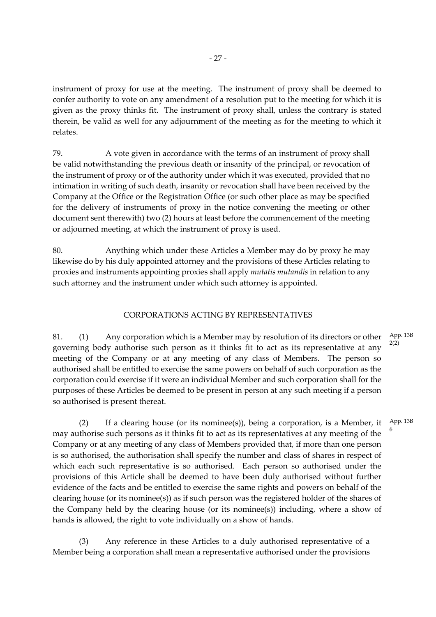instrument of proxy for use at the meeting. The instrument of proxy shall be deemed to confer authority to vote on any amendment of a resolution put to the meeting for which it is given as the proxy thinks fit. The instrument of proxy shall, unless the contrary is stated therein, be valid as well for any adjournment of the meeting as for the meeting to which it relates.

79. A vote given in accordance with the terms of an instrument of proxy shall be valid notwithstanding the previous death or insanity of the principal, or revocation of the instrument of proxy or of the authority under which it was executed, provided that no intimation in writing of such death, insanity or revocation shall have been received by the Company at the Office or the Registration Office (or such other place as may be specified for the delivery of instruments of proxy in the notice convening the meeting or other document sent therewith) two (2) hours at least before the commencement of the meeting or adjourned meeting, at which the instrument of proxy is used.

80. Anything which under these Articles a Member may do by proxy he may likewise do by his duly appointed attorney and the provisions of these Articles relating to proxies and instruments appointing proxies shall apply *mutatis mutandis* in relation to any such attorney and the instrument under which such attorney is appointed.

# CORPORATIONS ACTING BY REPRESENTATIVES

81. (1) Any corporation which is a Member may by resolution of its directors or other governing body authorise such person as it thinks fit to act as its representative at any meeting of the Company or at any meeting of any class of Members. The person so authorised shall be entitled to exercise the same powers on behalf of such corporation as the corporation could exercise if it were an individual Member and such corporation shall for the purposes of these Articles be deemed to be present in person at any such meeting if a person so authorised is present thereat. App. 13B 2(2)

6

(2) If a clearing house (or its nominee(s)), being a corporation, is a Member, it may authorise such persons as it thinks fit to act as its representatives at any meeting of the Company or at any meeting of any class of Members provided that, if more than one person is so authorised, the authorisation shall specify the number and class of shares in respect of which each such representative is so authorised. Each person so authorised under the provisions of this Article shall be deemed to have been duly authorised without further evidence of the facts and be entitled to exercise the same rights and powers on behalf of the clearing house (or its nominee(s)) as if such person was the registered holder of the shares of the Company held by the clearing house (or its nominee(s)) including, where a show of hands is allowed, the right to vote individually on a show of hands. App. 13B

(3) Any reference in these Articles to a duly authorised representative of a Member being a corporation shall mean a representative authorised under the provisions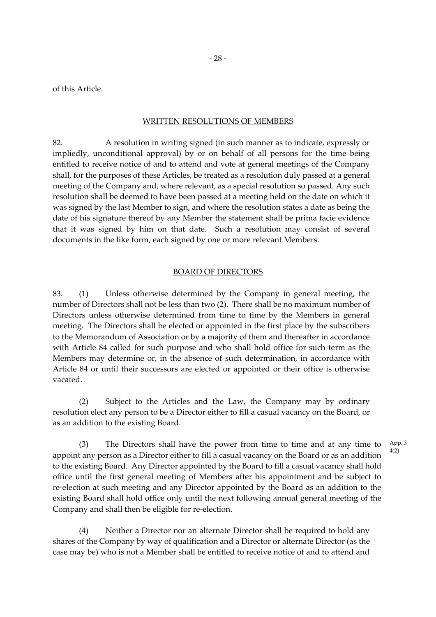of this Article.

#### WRITTEN RESOLUTIONS OF MEMBERS

82. A resolution in writing signed (in such manner as to indicate, expressly or impliedly, unconditional approval) by or on behalf of all persons for the time being entitled to receive notice of and to attend and vote at general meetings of the Company shall, for the purposes of these Articles, be treated as a resolution duly passed at a general meeting of the Company and, where relevant, as a special resolution so passed. Any such resolution shall be deemed to have been passed at a meeting held on the date on which it was signed by the last Member to sign, and where the resolution states a date as being the date of his signature thereof by any Member the statement shall be prima facie evidence that it was signed by him on that date. Such a resolution may consist of several documents in the like form, each signed by one or more relevant Members.

#### BOARD OF DIRECTORS

83. (1) Unless otherwise determined by the Company in general meeting, the number of Directors shall not be less than two (2). There shall be no maximum number of Directors unless otherwise determined from time to time by the Members in general meeting. The Directors shall be elected or appointed in the first place by the subscribers to the Memorandum of Association or by a majority of them and thereafter in accordance with Article 84 called for such purpose and who shall hold office for such term as the Members may determine or, in the absence of such determination, in accordance with Article 84 or until their successors are elected or appointed or their office is otherwise vacated.

(2) Subject to the Articles and the Law, the Company may by ordinary resolution elect any person to be a Director either to fill a casual vacancy on the Board, or as an addition to the existing Board.

(3) The Directors shall have the power from time to time and at any time to appoint any person as a Director either to fill a casual vacancy on the Board or as an addition to the existing Board. Any Director appointed by the Board to fill a casual vacancy shall hold office until the first general meeting of Members after his appointment and be subject to re-election at such meeting and any Director appointed by the Board as an addition to the existing Board shall hold office only until the next following annual general meeting of the Company and shall then be eligible for re-election. 4(2)

(4) Neither a Director nor an alternate Director shall be required to hold any shares of the Company by way of qualification and a Director or alternate Director (as the case may be) who is not a Member shall be entitled to receive notice of and to attend and App. 3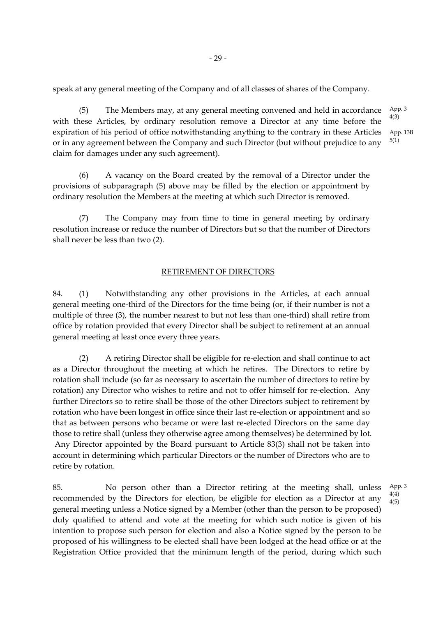speak at any general meeting of the Company and of all classes of shares of the Company.

(5) The Members may, at any general meeting convened and held in accordance with these Articles, by ordinary resolution remove a Director at any time before the expiration of his period of office notwithstanding anything to the contrary in these Articles or in any agreement between the Company and such Director (but without prejudice to any claim for damages under any such agreement). App. 3 4(3) App. 13B 5(1)

(6) A vacancy on the Board created by the removal of a Director under the provisions of subparagraph (5) above may be filled by the election or appointment by ordinary resolution the Members at the meeting at which such Director is removed.

(7) The Company may from time to time in general meeting by ordinary resolution increase or reduce the number of Directors but so that the number of Directors shall never be less than two (2).

#### RETIREMENT OF DIRECTORS

84. (1) Notwithstanding any other provisions in the Articles, at each annual general meeting one-third of the Directors for the time being (or, if their number is not a multiple of three (3), the number nearest to but not less than one-third) shall retire from office by rotation provided that every Director shall be subject to retirement at an annual general meeting at least once every three years.

(2) A retiring Director shall be eligible for re-election and shall continue to act as a Director throughout the meeting at which he retires. The Directors to retire by rotation shall include (so far as necessary to ascertain the number of directors to retire by rotation) any Director who wishes to retire and not to offer himself for re-election. Any further Directors so to retire shall be those of the other Directors subject to retirement by rotation who have been longest in office since their last re-election or appointment and so that as between persons who became or were last re-elected Directors on the same day those to retire shall (unless they otherwise agree among themselves) be determined by lot. Any Director appointed by the Board pursuant to Article 83(3) shall not be taken into account in determining which particular Directors or the number of Directors who are to retire by rotation.

85. No person other than a Director retiring at the meeting shall, unless recommended by the Directors for election, be eligible for election as a Director at any general meeting unless a Notice signed by a Member (other than the person to be proposed) duly qualified to attend and vote at the meeting for which such notice is given of his intention to propose such person for election and also a Notice signed by the person to be proposed of his willingness to be elected shall have been lodged at the head office or at the Registration Office provided that the minimum length of the period, during which such

App. 3 4(4) 4(5)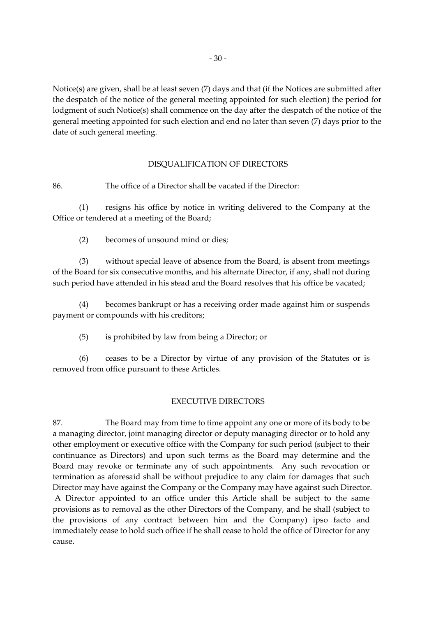Notice(s) are given, shall be at least seven (7) days and that (if the Notices are submitted after the despatch of the notice of the general meeting appointed for such election) the period for lodgment of such Notice(s) shall commence on the day after the despatch of the notice of the general meeting appointed for such election and end no later than seven (7) days prior to the date of such general meeting.

# DISQUALIFICATION OF DIRECTORS

86. The office of a Director shall be vacated if the Director:

(1) resigns his office by notice in writing delivered to the Company at the Office or tendered at a meeting of the Board;

(2) becomes of unsound mind or dies;

(3) without special leave of absence from the Board, is absent from meetings of the Board for six consecutive months, and his alternate Director, if any, shall not during such period have attended in his stead and the Board resolves that his office be vacated;

(4) becomes bankrupt or has a receiving order made against him or suspends payment or compounds with his creditors;

(5) is prohibited by law from being a Director; or

(6) ceases to be a Director by virtue of any provision of the Statutes or is removed from office pursuant to these Articles.

# EXECUTIVE DIRECTORS

87. The Board may from time to time appoint any one or more of its body to be a managing director, joint managing director or deputy managing director or to hold any other employment or executive office with the Company for such period (subject to their continuance as Directors) and upon such terms as the Board may determine and the Board may revoke or terminate any of such appointments. Any such revocation or termination as aforesaid shall be without prejudice to any claim for damages that such Director may have against the Company or the Company may have against such Director. A Director appointed to an office under this Article shall be subject to the same provisions as to removal as the other Directors of the Company, and he shall (subject to the provisions of any contract between him and the Company) ipso facto and immediately cease to hold such office if he shall cease to hold the office of Director for any cause.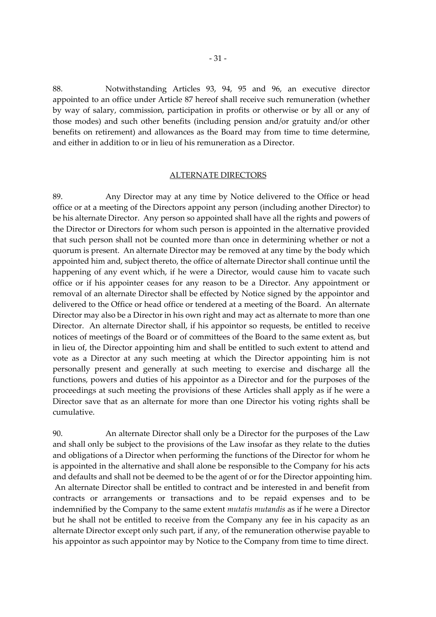88. Notwithstanding Articles 93, 94, 95 and 96, an executive director appointed to an office under Article 87 hereof shall receive such remuneration (whether by way of salary, commission, participation in profits or otherwise or by all or any of those modes) and such other benefits (including pension and/or gratuity and/or other benefits on retirement) and allowances as the Board may from time to time determine, and either in addition to or in lieu of his remuneration as a Director.

#### ALTERNATE DIRECTORS

89. Any Director may at any time by Notice delivered to the Office or head office or at a meeting of the Directors appoint any person (including another Director) to be his alternate Director. Any person so appointed shall have all the rights and powers of the Director or Directors for whom such person is appointed in the alternative provided that such person shall not be counted more than once in determining whether or not a quorum is present. An alternate Director may be removed at any time by the body which appointed him and, subject thereto, the office of alternate Director shall continue until the happening of any event which, if he were a Director, would cause him to vacate such office or if his appointer ceases for any reason to be a Director. Any appointment or removal of an alternate Director shall be effected by Notice signed by the appointor and delivered to the Office or head office or tendered at a meeting of the Board. An alternate Director may also be a Director in his own right and may act as alternate to more than one Director. An alternate Director shall, if his appointor so requests, be entitled to receive notices of meetings of the Board or of committees of the Board to the same extent as, but in lieu of, the Director appointing him and shall be entitled to such extent to attend and vote as a Director at any such meeting at which the Director appointing him is not personally present and generally at such meeting to exercise and discharge all the functions, powers and duties of his appointor as a Director and for the purposes of the proceedings at such meeting the provisions of these Articles shall apply as if he were a Director save that as an alternate for more than one Director his voting rights shall be cumulative.

90. An alternate Director shall only be a Director for the purposes of the Law and shall only be subject to the provisions of the Law insofar as they relate to the duties and obligations of a Director when performing the functions of the Director for whom he is appointed in the alternative and shall alone be responsible to the Company for his acts and defaults and shall not be deemed to be the agent of or for the Director appointing him. An alternate Director shall be entitled to contract and be interested in and benefit from contracts or arrangements or transactions and to be repaid expenses and to be indemnified by the Company to the same extent *mutatis mutandis* as if he were a Director but he shall not be entitled to receive from the Company any fee in his capacity as an alternate Director except only such part, if any, of the remuneration otherwise payable to his appointor as such appointor may by Notice to the Company from time to time direct.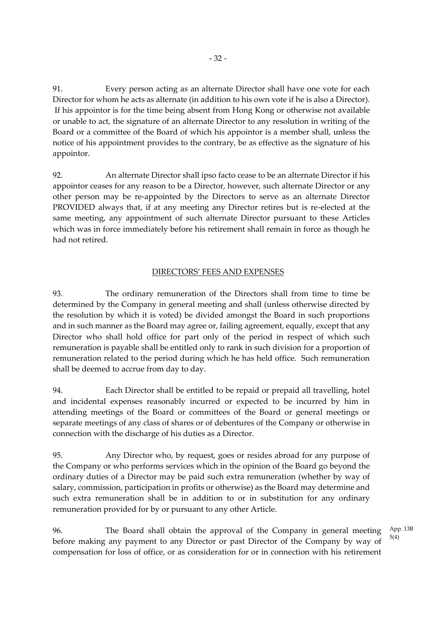91. Every person acting as an alternate Director shall have one vote for each Director for whom he acts as alternate (in addition to his own vote if he is also a Director). If his appointor is for the time being absent from Hong Kong or otherwise not available or unable to act, the signature of an alternate Director to any resolution in writing of the Board or a committee of the Board of which his appointor is a member shall, unless the notice of his appointment provides to the contrary, be as effective as the signature of his appointor.

92. An alternate Director shall ipso facto cease to be an alternate Director if his appointor ceases for any reason to be a Director, however, such alternate Director or any other person may be re-appointed by the Directors to serve as an alternate Director PROVIDED always that, if at any meeting any Director retires but is re-elected at the same meeting, any appointment of such alternate Director pursuant to these Articles which was in force immediately before his retirement shall remain in force as though he had not retired.

# DIRECTORS' FEES AND EXPENSES

93. The ordinary remuneration of the Directors shall from time to time be determined by the Company in general meeting and shall (unless otherwise directed by the resolution by which it is voted) be divided amongst the Board in such proportions and in such manner as the Board may agree or, failing agreement, equally, except that any Director who shall hold office for part only of the period in respect of which such remuneration is payable shall be entitled only to rank in such division for a proportion of remuneration related to the period during which he has held office. Such remuneration shall be deemed to accrue from day to day.

94. Each Director shall be entitled to be repaid or prepaid all travelling, hotel and incidental expenses reasonably incurred or expected to be incurred by him in attending meetings of the Board or committees of the Board or general meetings or separate meetings of any class of shares or of debentures of the Company or otherwise in connection with the discharge of his duties as a Director.

95. Any Director who, by request, goes or resides abroad for any purpose of the Company or who performs services which in the opinion of the Board go beyond the ordinary duties of a Director may be paid such extra remuneration (whether by way of salary, commission, participation in profits or otherwise) as the Board may determine and such extra remuneration shall be in addition to or in substitution for any ordinary remuneration provided for by or pursuant to any other Article.

96. The Board shall obtain the approval of the Company in general meeting before making any payment to any Director or past Director of the Company by way of compensation for loss of office, or as consideration for or in connection with his retirement App. 13B 5(4)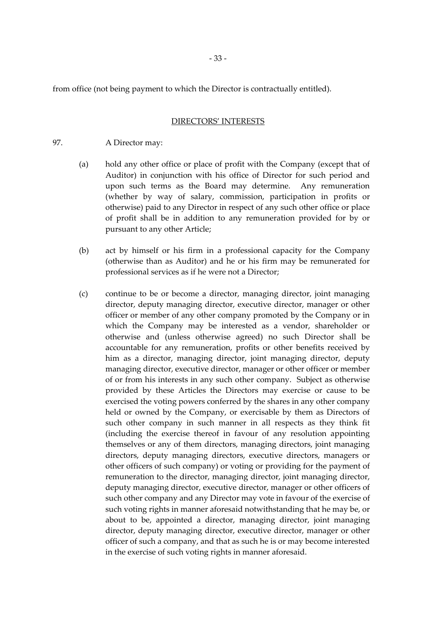from office (not being payment to which the Director is contractually entitled).

# DIRECTORS' INTERESTS

97. A Director may:

- (a) hold any other office or place of profit with the Company (except that of Auditor) in conjunction with his office of Director for such period and upon such terms as the Board may determine. Any remuneration (whether by way of salary, commission, participation in profits or otherwise) paid to any Director in respect of any such other office or place of profit shall be in addition to any remuneration provided for by or pursuant to any other Article;
- (b) act by himself or his firm in a professional capacity for the Company (otherwise than as Auditor) and he or his firm may be remunerated for professional services as if he were not a Director;
- (c) continue to be or become a director, managing director, joint managing director, deputy managing director, executive director, manager or other officer or member of any other company promoted by the Company or in which the Company may be interested as a vendor, shareholder or otherwise and (unless otherwise agreed) no such Director shall be accountable for any remuneration, profits or other benefits received by him as a director, managing director, joint managing director, deputy managing director, executive director, manager or other officer or member of or from his interests in any such other company. Subject as otherwise provided by these Articles the Directors may exercise or cause to be exercised the voting powers conferred by the shares in any other company held or owned by the Company, or exercisable by them as Directors of such other company in such manner in all respects as they think fit (including the exercise thereof in favour of any resolution appointing themselves or any of them directors, managing directors, joint managing directors, deputy managing directors, executive directors, managers or other officers of such company) or voting or providing for the payment of remuneration to the director, managing director, joint managing director, deputy managing director, executive director, manager or other officers of such other company and any Director may vote in favour of the exercise of such voting rights in manner aforesaid notwithstanding that he may be, or about to be, appointed a director, managing director, joint managing director, deputy managing director, executive director, manager or other officer of such a company, and that as such he is or may become interested in the exercise of such voting rights in manner aforesaid.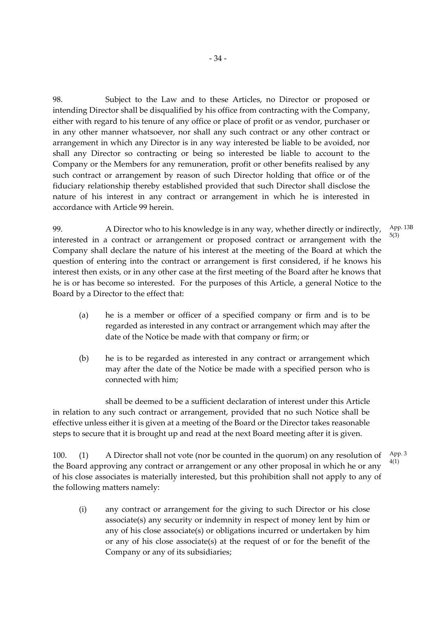98. Subject to the Law and to these Articles, no Director or proposed or intending Director shall be disqualified by his office from contracting with the Company, either with regard to his tenure of any office or place of profit or as vendor, purchaser or in any other manner whatsoever, nor shall any such contract or any other contract or arrangement in which any Director is in any way interested be liable to be avoided, nor shall any Director so contracting or being so interested be liable to account to the Company or the Members for any remuneration, profit or other benefits realised by any such contract or arrangement by reason of such Director holding that office or of the fiduciary relationship thereby established provided that such Director shall disclose the nature of his interest in any contract or arrangement in which he is interested in accordance with Article 99 herein.

99. A Director who to his knowledge is in any way, whether directly or indirectly, interested in a contract or arrangement or proposed contract or arrangement with the Company shall declare the nature of his interest at the meeting of the Board at which the question of entering into the contract or arrangement is first considered, if he knows his interest then exists, or in any other case at the first meeting of the Board after he knows that he is or has become so interested. For the purposes of this Article, a general Notice to the Board by a Director to the effect that: 5(3)

- (a) he is a member or officer of a specified company or firm and is to be regarded as interested in any contract or arrangement which may after the date of the Notice be made with that company or firm; or
- (b) he is to be regarded as interested in any contract or arrangement which may after the date of the Notice be made with a specified person who is connected with him;

shall be deemed to be a sufficient declaration of interest under this Article in relation to any such contract or arrangement, provided that no such Notice shall be effective unless either it is given at a meeting of the Board or the Director takes reasonable steps to secure that it is brought up and read at the next Board meeting after it is given.

100. (1) A Director shall not vote (nor be counted in the quorum) on any resolution of the Board approving any contract or arrangement or any other proposal in which he or any of his close associates is materially interested, but this prohibition shall not apply to any of the following matters namely: App. 3 4(1)

(i) any contract or arrangement for the giving to such Director or his close associate(s) any security or indemnity in respect of money lent by him or any of his close associate(s) or obligations incurred or undertaken by him or any of his close associate(s) at the request of or for the benefit of the Company or any of its subsidiaries;

App. 13B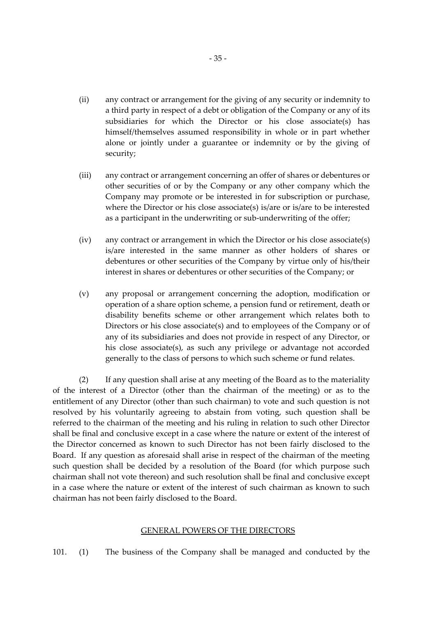- (ii) any contract or arrangement for the giving of any security or indemnity to a third party in respect of a debt or obligation of the Company or any of its subsidiaries for which the Director or his close associate(s) has himself/themselves assumed responsibility in whole or in part whether alone or jointly under a guarantee or indemnity or by the giving of security;
- (iii) any contract or arrangement concerning an offer of shares or debentures or other securities of or by the Company or any other company which the Company may promote or be interested in for subscription or purchase, where the Director or his close associate(s) is/are or is/are to be interested as a participant in the underwriting or sub-underwriting of the offer;
- (iv) any contract or arrangement in which the Director or his close associate(s) is/are interested in the same manner as other holders of shares or debentures or other securities of the Company by virtue only of his/their interest in shares or debentures or other securities of the Company; or
- (v) any proposal or arrangement concerning the adoption, modification or operation of a share option scheme, a pension fund or retirement, death or disability benefits scheme or other arrangement which relates both to Directors or his close associate(s) and to employees of the Company or of any of its subsidiaries and does not provide in respect of any Director, or his close associate(s), as such any privilege or advantage not accorded generally to the class of persons to which such scheme or fund relates.

(2) If any question shall arise at any meeting of the Board as to the materiality of the interest of a Director (other than the chairman of the meeting) or as to the entitlement of any Director (other than such chairman) to vote and such question is not resolved by his voluntarily agreeing to abstain from voting, such question shall be referred to the chairman of the meeting and his ruling in relation to such other Director shall be final and conclusive except in a case where the nature or extent of the interest of the Director concerned as known to such Director has not been fairly disclosed to the Board. If any question as aforesaid shall arise in respect of the chairman of the meeting such question shall be decided by a resolution of the Board (for which purpose such chairman shall not vote thereon) and such resolution shall be final and conclusive except in a case where the nature or extent of the interest of such chairman as known to such chairman has not been fairly disclosed to the Board.

# GENERAL POWERS OF THE DIRECTORS

101. (1) The business of the Company shall be managed and conducted by the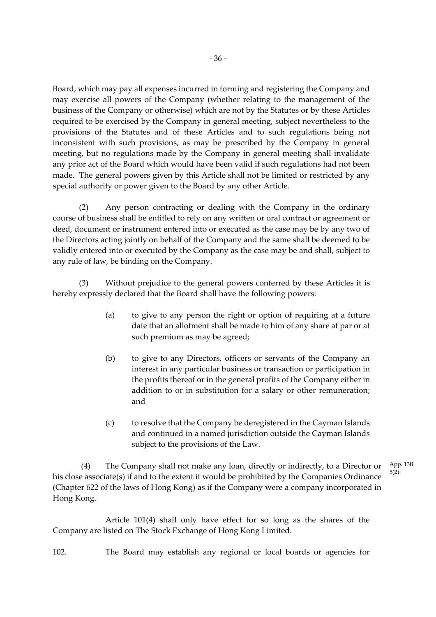Board, which may pay all expenses incurred in forming and registering the Company and may exercise all powers of the Company (whether relating to the management of the business of the Company or otherwise) which are not by the Statutes or by these Articles required to be exercised by the Company in general meeting, subject nevertheless to the provisions of the Statutes and of these Articles and to such regulations being not inconsistent with such provisions, as may be prescribed by the Company in general meeting, but no regulations made by the Company in general meeting shall invalidate any prior act of the Board which would have been valid if such regulations had not been made. The general powers given by this Article shall not be limited or restricted by any special authority or power given to the Board by any other Article.

(2) Any person contracting or dealing with the Company in the ordinary course of business shall be entitled to rely on any written or oral contract or agreement or deed, document or instrument entered into or executed as the case may be by any two of the Directors acting jointly on behalf of the Company and the same shall be deemed to be validly entered into or executed by the Company as the case may be and shall, subject to any rule of law, be binding on the Company.

(3) Without prejudice to the general powers conferred by these Articles it is hereby expressly declared that the Board shall have the following powers:

- (a) to give to any person the right or option of requiring at a future date that an allotment shall be made to him of any share at par or at such premium as may be agreed;
- (b) to give to any Directors, officers or servants of the Company an interest in any particular business or transaction or participation in the profits thereof or in the general profits of the Company either in addition to or in substitution for a salary or other remuneration; and
- (c) to resolve that the Company be deregistered in the Cayman Islands and continued in a named jurisdiction outside the Cayman Islands subject to the provisions of the Law.

(4) The Company shall not make any loan, directly or indirectly, to a Director or his close associate(s) if and to the extent it would be prohibited by the Companies Ordinance (Chapter 622 of the laws of Hong Kong) as if the Company were a company incorporated in Hong Kong. App. 13B 5(2)

Article 101(4) shall only have effect for so long as the shares of the Company are listed on The Stock Exchange of Hong Kong Limited.

102. The Board may establish any regional or local boards or agencies for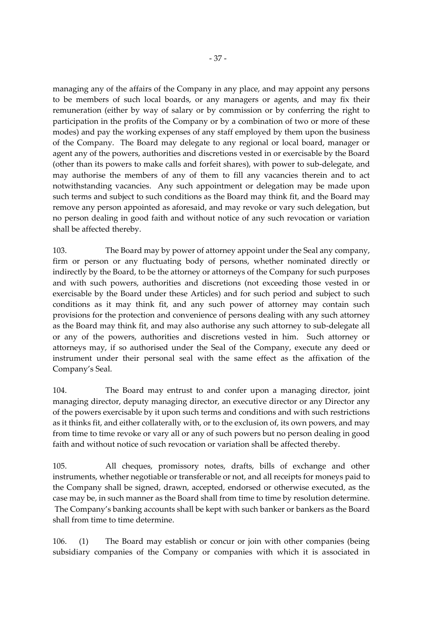managing any of the affairs of the Company in any place, and may appoint any persons to be members of such local boards, or any managers or agents, and may fix their remuneration (either by way of salary or by commission or by conferring the right to participation in the profits of the Company or by a combination of two or more of these modes) and pay the working expenses of any staff employed by them upon the business of the Company. The Board may delegate to any regional or local board, manager or agent any of the powers, authorities and discretions vested in or exercisable by the Board (other than its powers to make calls and forfeit shares), with power to sub-delegate, and may authorise the members of any of them to fill any vacancies therein and to act notwithstanding vacancies. Any such appointment or delegation may be made upon such terms and subject to such conditions as the Board may think fit, and the Board may remove any person appointed as aforesaid, and may revoke or vary such delegation, but no person dealing in good faith and without notice of any such revocation or variation shall be affected thereby.

103. The Board may by power of attorney appoint under the Seal any company, firm or person or any fluctuating body of persons, whether nominated directly or indirectly by the Board, to be the attorney or attorneys of the Company for such purposes and with such powers, authorities and discretions (not exceeding those vested in or exercisable by the Board under these Articles) and for such period and subject to such conditions as it may think fit, and any such power of attorney may contain such provisions for the protection and convenience of persons dealing with any such attorney as the Board may think fit, and may also authorise any such attorney to sub-delegate all or any of the powers, authorities and discretions vested in him. Such attorney or attorneys may, if so authorised under the Seal of the Company, execute any deed or instrument under their personal seal with the same effect as the affixation of the Company's Seal.

104. The Board may entrust to and confer upon a managing director, joint managing director, deputy managing director, an executive director or any Director any of the powers exercisable by it upon such terms and conditions and with such restrictions as it thinks fit, and either collaterally with, or to the exclusion of, its own powers, and may from time to time revoke or vary all or any of such powers but no person dealing in good faith and without notice of such revocation or variation shall be affected thereby.

105. All cheques, promissory notes, drafts, bills of exchange and other instruments, whether negotiable or transferable or not, and all receipts for moneys paid to the Company shall be signed, drawn, accepted, endorsed or otherwise executed, as the case may be, in such manner as the Board shall from time to time by resolution determine. The Company's banking accounts shall be kept with such banker or bankers as the Board shall from time to time determine.

106. (1) The Board may establish or concur or join with other companies (being subsidiary companies of the Company or companies with which it is associated in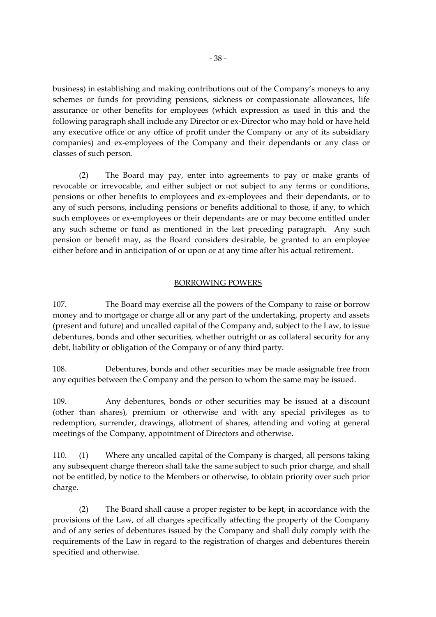business) in establishing and making contributions out of the Company's moneys to any schemes or funds for providing pensions, sickness or compassionate allowances, life assurance or other benefits for employees (which expression as used in this and the following paragraph shall include any Director or ex-Director who may hold or have held any executive office or any office of profit under the Company or any of its subsidiary companies) and ex-employees of the Company and their dependants or any class or classes of such person.

(2) The Board may pay, enter into agreements to pay or make grants of revocable or irrevocable, and either subject or not subject to any terms or conditions, pensions or other benefits to employees and ex-employees and their dependants, or to any of such persons, including pensions or benefits additional to those, if any, to which such employees or ex-employees or their dependants are or may become entitled under any such scheme or fund as mentioned in the last preceding paragraph. Any such pension or benefit may, as the Board considers desirable, be granted to an employee either before and in anticipation of or upon or at any time after his actual retirement.

# BORROWING POWERS

107. The Board may exercise all the powers of the Company to raise or borrow money and to mortgage or charge all or any part of the undertaking, property and assets (present and future) and uncalled capital of the Company and, subject to the Law, to issue debentures, bonds and other securities, whether outright or as collateral security for any debt, liability or obligation of the Company or of any third party.

108. Debentures, bonds and other securities may be made assignable free from any equities between the Company and the person to whom the same may be issued.

109. Any debentures, bonds or other securities may be issued at a discount (other than shares), premium or otherwise and with any special privileges as to redemption, surrender, drawings, allotment of shares, attending and voting at general meetings of the Company, appointment of Directors and otherwise.

110. (1) Where any uncalled capital of the Company is charged, all persons taking any subsequent charge thereon shall take the same subject to such prior charge, and shall not be entitled, by notice to the Members or otherwise, to obtain priority over such prior charge.

(2) The Board shall cause a proper register to be kept, in accordance with the provisions of the Law, of all charges specifically affecting the property of the Company and of any series of debentures issued by the Company and shall duly comply with the requirements of the Law in regard to the registration of charges and debentures therein specified and otherwise.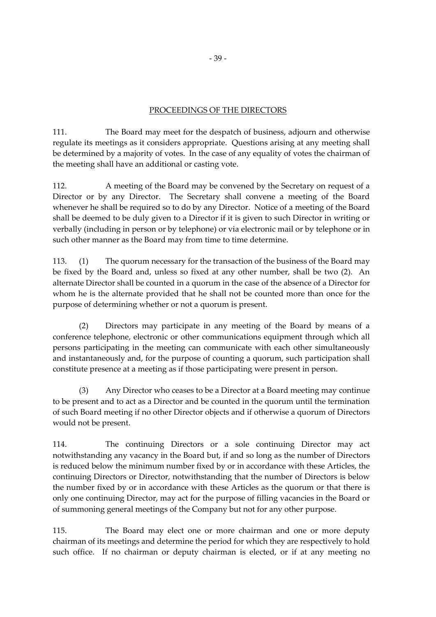# PROCEEDINGS OF THE DIRECTORS

111. The Board may meet for the despatch of business, adjourn and otherwise regulate its meetings as it considers appropriate. Questions arising at any meeting shall be determined by a majority of votes. In the case of any equality of votes the chairman of the meeting shall have an additional or casting vote.

112. A meeting of the Board may be convened by the Secretary on request of a Director or by any Director. The Secretary shall convene a meeting of the Board whenever he shall be required so to do by any Director. Notice of a meeting of the Board shall be deemed to be duly given to a Director if it is given to such Director in writing or verbally (including in person or by telephone) or via electronic mail or by telephone or in such other manner as the Board may from time to time determine.

113. (1) The quorum necessary for the transaction of the business of the Board may be fixed by the Board and, unless so fixed at any other number, shall be two (2). An alternate Director shall be counted in a quorum in the case of the absence of a Director for whom he is the alternate provided that he shall not be counted more than once for the purpose of determining whether or not a quorum is present.

(2) Directors may participate in any meeting of the Board by means of a conference telephone, electronic or other communications equipment through which all persons participating in the meeting can communicate with each other simultaneously and instantaneously and, for the purpose of counting a quorum, such participation shall constitute presence at a meeting as if those participating were present in person.

(3) Any Director who ceases to be a Director at a Board meeting may continue to be present and to act as a Director and be counted in the quorum until the termination of such Board meeting if no other Director objects and if otherwise a quorum of Directors would not be present.

114. The continuing Directors or a sole continuing Director may act notwithstanding any vacancy in the Board but, if and so long as the number of Directors is reduced below the minimum number fixed by or in accordance with these Articles, the continuing Directors or Director, notwithstanding that the number of Directors is below the number fixed by or in accordance with these Articles as the quorum or that there is only one continuing Director, may act for the purpose of filling vacancies in the Board or of summoning general meetings of the Company but not for any other purpose.

115. The Board may elect one or more chairman and one or more deputy chairman of its meetings and determine the period for which they are respectively to hold such office. If no chairman or deputy chairman is elected, or if at any meeting no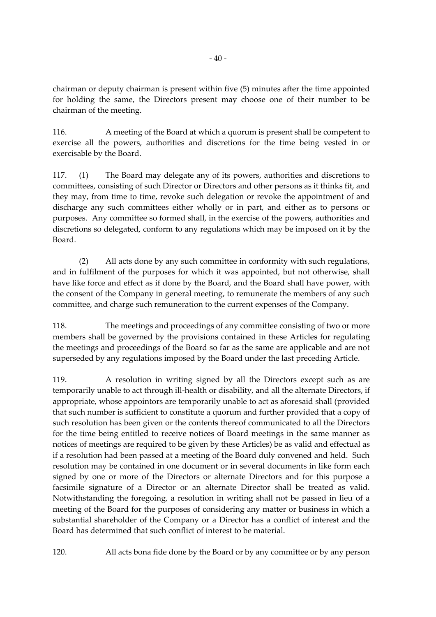chairman or deputy chairman is present within five (5) minutes after the time appointed for holding the same, the Directors present may choose one of their number to be chairman of the meeting.

116. A meeting of the Board at which a quorum is present shall be competent to exercise all the powers, authorities and discretions for the time being vested in or exercisable by the Board.

117. (1) The Board may delegate any of its powers, authorities and discretions to committees, consisting of such Director or Directors and other persons as it thinks fit, and they may, from time to time, revoke such delegation or revoke the appointment of and discharge any such committees either wholly or in part, and either as to persons or purposes. Any committee so formed shall, in the exercise of the powers, authorities and discretions so delegated, conform to any regulations which may be imposed on it by the Board.

(2) All acts done by any such committee in conformity with such regulations, and in fulfilment of the purposes for which it was appointed, but not otherwise, shall have like force and effect as if done by the Board, and the Board shall have power, with the consent of the Company in general meeting, to remunerate the members of any such committee, and charge such remuneration to the current expenses of the Company.

118. The meetings and proceedings of any committee consisting of two or more members shall be governed by the provisions contained in these Articles for regulating the meetings and proceedings of the Board so far as the same are applicable and are not superseded by any regulations imposed by the Board under the last preceding Article.

119. A resolution in writing signed by all the Directors except such as are temporarily unable to act through ill-health or disability, and all the alternate Directors, if appropriate, whose appointors are temporarily unable to act as aforesaid shall (provided that such number is sufficient to constitute a quorum and further provided that a copy of such resolution has been given or the contents thereof communicated to all the Directors for the time being entitled to receive notices of Board meetings in the same manner as notices of meetings are required to be given by these Articles) be as valid and effectual as if a resolution had been passed at a meeting of the Board duly convened and held. Such resolution may be contained in one document or in several documents in like form each signed by one or more of the Directors or alternate Directors and for this purpose a facsimile signature of a Director or an alternate Director shall be treated as valid. Notwithstanding the foregoing, a resolution in writing shall not be passed in lieu of a meeting of the Board for the purposes of considering any matter or business in which a substantial shareholder of the Company or a Director has a conflict of interest and the Board has determined that such conflict of interest to be material.

120. All acts bona fide done by the Board or by any committee or by any person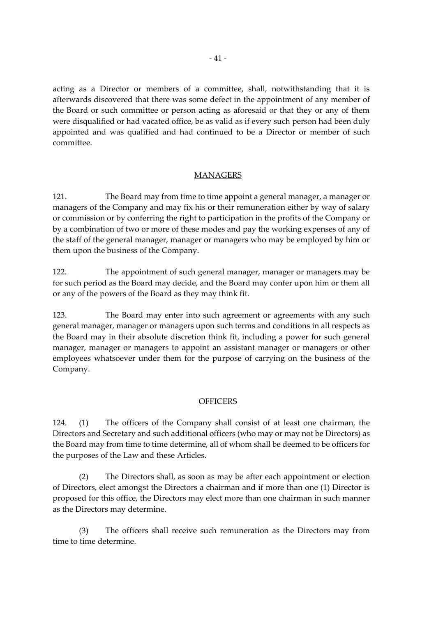acting as a Director or members of a committee, shall, notwithstanding that it is afterwards discovered that there was some defect in the appointment of any member of the Board or such committee or person acting as aforesaid or that they or any of them were disqualified or had vacated office, be as valid as if every such person had been duly appointed and was qualified and had continued to be a Director or member of such committee.

# MANAGERS

121. The Board may from time to time appoint a general manager, a manager or managers of the Company and may fix his or their remuneration either by way of salary or commission or by conferring the right to participation in the profits of the Company or by a combination of two or more of these modes and pay the working expenses of any of the staff of the general manager, manager or managers who may be employed by him or them upon the business of the Company.

122. The appointment of such general manager, manager or managers may be for such period as the Board may decide, and the Board may confer upon him or them all or any of the powers of the Board as they may think fit.

123. The Board may enter into such agreement or agreements with any such general manager, manager or managers upon such terms and conditions in all respects as the Board may in their absolute discretion think fit, including a power for such general manager, manager or managers to appoint an assistant manager or managers or other employees whatsoever under them for the purpose of carrying on the business of the Company.

# **OFFICERS**

124. (1) The officers of the Company shall consist of at least one chairman, the Directors and Secretary and such additional officers (who may or may not be Directors) as the Board may from time to time determine, all of whom shall be deemed to be officers for the purposes of the Law and these Articles.

(2) The Directors shall, as soon as may be after each appointment or election of Directors, elect amongst the Directors a chairman and if more than one (1) Director is proposed for this office, the Directors may elect more than one chairman in such manner as the Directors may determine.

(3) The officers shall receive such remuneration as the Directors may from time to time determine.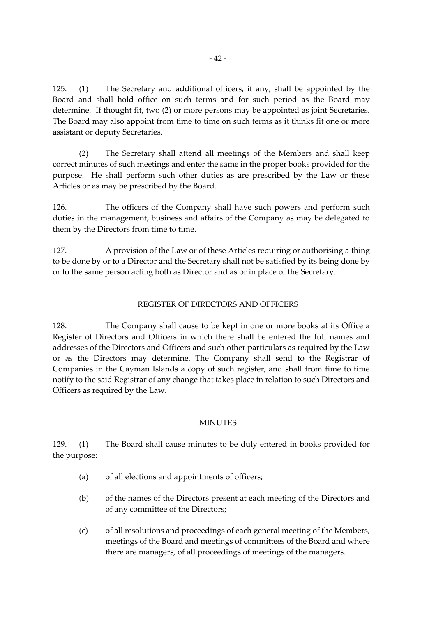125. (1) The Secretary and additional officers, if any, shall be appointed by the Board and shall hold office on such terms and for such period as the Board may determine. If thought fit, two (2) or more persons may be appointed as joint Secretaries. The Board may also appoint from time to time on such terms as it thinks fit one or more assistant or deputy Secretaries.

(2) The Secretary shall attend all meetings of the Members and shall keep correct minutes of such meetings and enter the same in the proper books provided for the purpose. He shall perform such other duties as are prescribed by the Law or these Articles or as may be prescribed by the Board.

126. The officers of the Company shall have such powers and perform such duties in the management, business and affairs of the Company as may be delegated to them by the Directors from time to time.

127. A provision of the Law or of these Articles requiring or authorising a thing to be done by or to a Director and the Secretary shall not be satisfied by its being done by or to the same person acting both as Director and as or in place of the Secretary.

#### REGISTER OF DIRECTORS AND OFFICERS

128. The Company shall cause to be kept in one or more books at its Office a Register of Directors and Officers in which there shall be entered the full names and addresses of the Directors and Officers and such other particulars as required by the Law or as the Directors may determine. The Company shall send to the Registrar of Companies in the Cayman Islands a copy of such register, and shall from time to time notify to the said Registrar of any change that takes place in relation to such Directors and Officers as required by the Law.

#### MINUTES

129. (1) The Board shall cause minutes to be duly entered in books provided for the purpose:

- (a) of all elections and appointments of officers;
- (b) of the names of the Directors present at each meeting of the Directors and of any committee of the Directors;
- (c) of all resolutions and proceedings of each general meeting of the Members, meetings of the Board and meetings of committees of the Board and where there are managers, of all proceedings of meetings of the managers.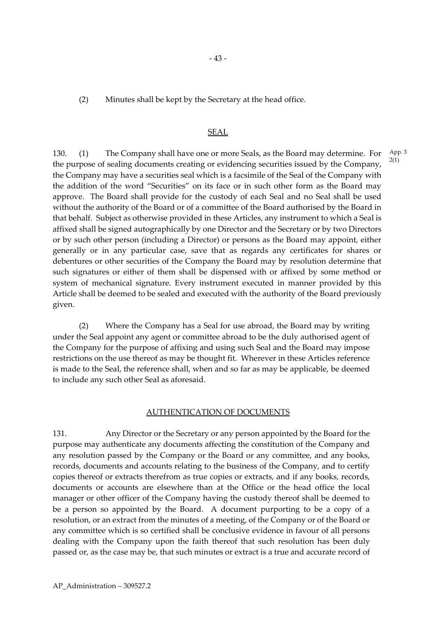(2) Minutes shall be kept by the Secretary at the head office.

#### SEAL

130. (1) The Company shall have one or more Seals, as the Board may determine. For the purpose of sealing documents creating or evidencing securities issued by the Company, the Company may have a securities seal which is a facsimile of the Seal of the Company with the addition of the word "Securities" on its face or in such other form as the Board may approve. The Board shall provide for the custody of each Seal and no Seal shall be used without the authority of the Board or of a committee of the Board authorised by the Board in that behalf. Subject as otherwise provided in these Articles, any instrument to which a Seal is affixed shall be signed autographically by one Director and the Secretary or by two Directors or by such other person (including a Director) or persons as the Board may appoint, either generally or in any particular case, save that as regards any certificates for shares or debentures or other securities of the Company the Board may by resolution determine that such signatures or either of them shall be dispensed with or affixed by some method or system of mechanical signature. Every instrument executed in manner provided by this Article shall be deemed to be sealed and executed with the authority of the Board previously given. 2(1)

(2) Where the Company has a Seal for use abroad, the Board may by writing under the Seal appoint any agent or committee abroad to be the duly authorised agent of the Company for the purpose of affixing and using such Seal and the Board may impose restrictions on the use thereof as may be thought fit. Wherever in these Articles reference is made to the Seal, the reference shall, when and so far as may be applicable, be deemed to include any such other Seal as aforesaid.

#### AUTHENTICATION OF DOCUMENTS

131. Any Director or the Secretary or any person appointed by the Board for the purpose may authenticate any documents affecting the constitution of the Company and any resolution passed by the Company or the Board or any committee, and any books, records, documents and accounts relating to the business of the Company, and to certify copies thereof or extracts therefrom as true copies or extracts, and if any books, records, documents or accounts are elsewhere than at the Office or the head office the local manager or other officer of the Company having the custody thereof shall be deemed to be a person so appointed by the Board. A document purporting to be a copy of a resolution, or an extract from the minutes of a meeting, of the Company or of the Board or any committee which is so certified shall be conclusive evidence in favour of all persons dealing with the Company upon the faith thereof that such resolution has been duly passed or, as the case may be, that such minutes or extract is a true and accurate record of App. 3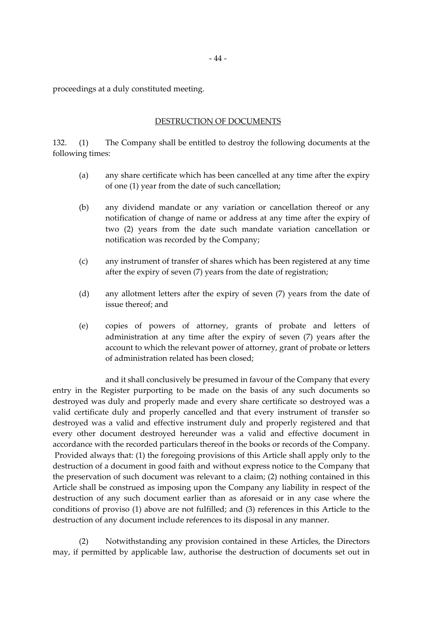proceedings at a duly constituted meeting.

#### DESTRUCTION OF DOCUMENTS

132. (1) The Company shall be entitled to destroy the following documents at the following times:

- (a) any share certificate which has been cancelled at any time after the expiry of one (1) year from the date of such cancellation;
- (b) any dividend mandate or any variation or cancellation thereof or any notification of change of name or address at any time after the expiry of two (2) years from the date such mandate variation cancellation or notification was recorded by the Company;
- (c) any instrument of transfer of shares which has been registered at any time after the expiry of seven (7) years from the date of registration;
- (d) any allotment letters after the expiry of seven (7) years from the date of issue thereof; and
- (e) copies of powers of attorney, grants of probate and letters of administration at any time after the expiry of seven (7) years after the account to which the relevant power of attorney, grant of probate or letters of administration related has been closed;

and it shall conclusively be presumed in favour of the Company that every entry in the Register purporting to be made on the basis of any such documents so destroyed was duly and properly made and every share certificate so destroyed was a valid certificate duly and properly cancelled and that every instrument of transfer so destroyed was a valid and effective instrument duly and properly registered and that every other document destroyed hereunder was a valid and effective document in accordance with the recorded particulars thereof in the books or records of the Company. Provided always that: (1) the foregoing provisions of this Article shall apply only to the destruction of a document in good faith and without express notice to the Company that the preservation of such document was relevant to a claim; (2) nothing contained in this Article shall be construed as imposing upon the Company any liability in respect of the destruction of any such document earlier than as aforesaid or in any case where the conditions of proviso (1) above are not fulfilled; and (3) references in this Article to the destruction of any document include references to its disposal in any manner.

(2) Notwithstanding any provision contained in these Articles, the Directors may, if permitted by applicable law, authorise the destruction of documents set out in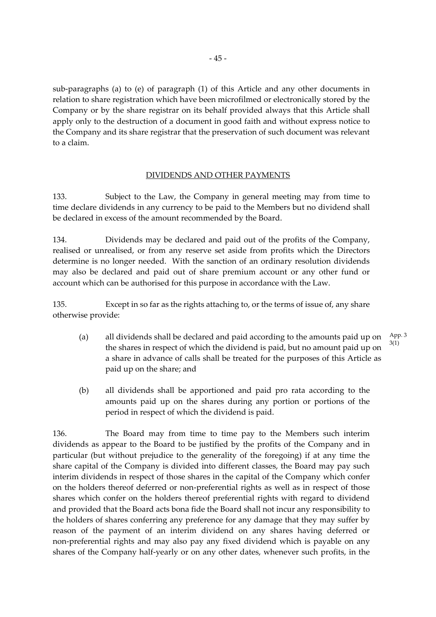sub-paragraphs (a) to (e) of paragraph (1) of this Article and any other documents in relation to share registration which have been microfilmed or electronically stored by the Company or by the share registrar on its behalf provided always that this Article shall apply only to the destruction of a document in good faith and without express notice to the Company and its share registrar that the preservation of such document was relevant to a claim.

# DIVIDENDS AND OTHER PAYMENTS

133. Subject to the Law, the Company in general meeting may from time to time declare dividends in any currency to be paid to the Members but no dividend shall be declared in excess of the amount recommended by the Board.

134. Dividends may be declared and paid out of the profits of the Company, realised or unrealised, or from any reserve set aside from profits which the Directors determine is no longer needed. With the sanction of an ordinary resolution dividends may also be declared and paid out of share premium account or any other fund or account which can be authorised for this purpose in accordance with the Law.

135. Except in so far as the rights attaching to, or the terms of issue of, any share otherwise provide:

- (a) all dividends shall be declared and paid according to the amounts paid up on the shares in respect of which the dividend is paid, but no amount paid up on a share in advance of calls shall be treated for the purposes of this Article as paid up on the share; and App. 3 3(1)
- (b) all dividends shall be apportioned and paid pro rata according to the amounts paid up on the shares during any portion or portions of the period in respect of which the dividend is paid.

136. The Board may from time to time pay to the Members such interim dividends as appear to the Board to be justified by the profits of the Company and in particular (but without prejudice to the generality of the foregoing) if at any time the share capital of the Company is divided into different classes, the Board may pay such interim dividends in respect of those shares in the capital of the Company which confer on the holders thereof deferred or non-preferential rights as well as in respect of those shares which confer on the holders thereof preferential rights with regard to dividend and provided that the Board acts bona fide the Board shall not incur any responsibility to the holders of shares conferring any preference for any damage that they may suffer by reason of the payment of an interim dividend on any shares having deferred or non-preferential rights and may also pay any fixed dividend which is payable on any shares of the Company half-yearly or on any other dates, whenever such profits, in the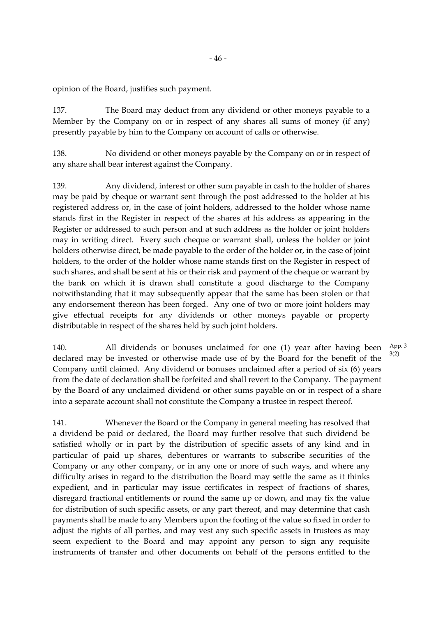opinion of the Board, justifies such payment.

137. The Board may deduct from any dividend or other moneys payable to a Member by the Company on or in respect of any shares all sums of money (if any) presently payable by him to the Company on account of calls or otherwise.

138. No dividend or other moneys payable by the Company on or in respect of any share shall bear interest against the Company.

139. Any dividend, interest or other sum payable in cash to the holder of shares may be paid by cheque or warrant sent through the post addressed to the holder at his registered address or, in the case of joint holders, addressed to the holder whose name stands first in the Register in respect of the shares at his address as appearing in the Register or addressed to such person and at such address as the holder or joint holders may in writing direct. Every such cheque or warrant shall, unless the holder or joint holders otherwise direct, be made payable to the order of the holder or, in the case of joint holders, to the order of the holder whose name stands first on the Register in respect of such shares, and shall be sent at his or their risk and payment of the cheque or warrant by the bank on which it is drawn shall constitute a good discharge to the Company notwithstanding that it may subsequently appear that the same has been stolen or that any endorsement thereon has been forged. Any one of two or more joint holders may give effectual receipts for any dividends or other moneys payable or property distributable in respect of the shares held by such joint holders.

140. All dividends or bonuses unclaimed for one (1) year after having been declared may be invested or otherwise made use of by the Board for the benefit of the Company until claimed. Any dividend or bonuses unclaimed after a period of six (6) years from the date of declaration shall be forfeited and shall revert to the Company. The payment by the Board of any unclaimed dividend or other sums payable on or in respect of a share into a separate account shall not constitute the Company a trustee in respect thereof. 3(2)

141. Whenever the Board or the Company in general meeting has resolved that a dividend be paid or declared, the Board may further resolve that such dividend be satisfied wholly or in part by the distribution of specific assets of any kind and in particular of paid up shares, debentures or warrants to subscribe securities of the Company or any other company, or in any one or more of such ways, and where any difficulty arises in regard to the distribution the Board may settle the same as it thinks expedient, and in particular may issue certificates in respect of fractions of shares, disregard fractional entitlements or round the same up or down, and may fix the value for distribution of such specific assets, or any part thereof, and may determine that cash payments shall be made to any Members upon the footing of the value so fixed in order to adjust the rights of all parties, and may vest any such specific assets in trustees as may seem expedient to the Board and may appoint any person to sign any requisite instruments of transfer and other documents on behalf of the persons entitled to the App. 3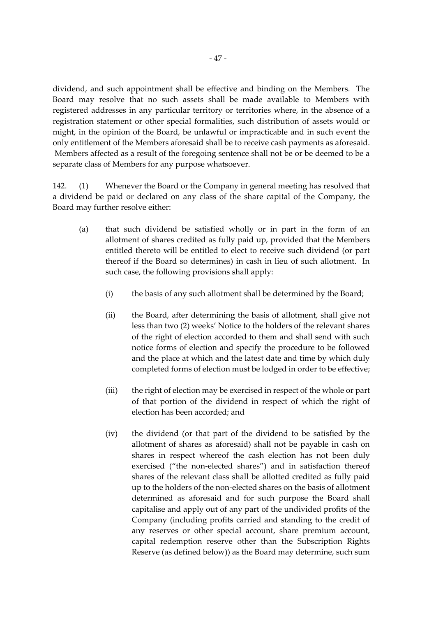dividend, and such appointment shall be effective and binding on the Members. The Board may resolve that no such assets shall be made available to Members with registered addresses in any particular territory or territories where, in the absence of a registration statement or other special formalities, such distribution of assets would or might, in the opinion of the Board, be unlawful or impracticable and in such event the only entitlement of the Members aforesaid shall be to receive cash payments as aforesaid. Members affected as a result of the foregoing sentence shall not be or be deemed to be a separate class of Members for any purpose whatsoever.

142. (1) Whenever the Board or the Company in general meeting has resolved that a dividend be paid or declared on any class of the share capital of the Company, the Board may further resolve either:

- (a) that such dividend be satisfied wholly or in part in the form of an allotment of shares credited as fully paid up, provided that the Members entitled thereto will be entitled to elect to receive such dividend (or part thereof if the Board so determines) in cash in lieu of such allotment. In such case, the following provisions shall apply:
	- (i) the basis of any such allotment shall be determined by the Board;
	- (ii) the Board, after determining the basis of allotment, shall give not less than two (2) weeks' Notice to the holders of the relevant shares of the right of election accorded to them and shall send with such notice forms of election and specify the procedure to be followed and the place at which and the latest date and time by which duly completed forms of election must be lodged in order to be effective;
	- (iii) the right of election may be exercised in respect of the whole or part of that portion of the dividend in respect of which the right of election has been accorded; and
	- (iv) the dividend (or that part of the dividend to be satisfied by the allotment of shares as aforesaid) shall not be payable in cash on shares in respect whereof the cash election has not been duly exercised ("the non-elected shares") and in satisfaction thereof shares of the relevant class shall be allotted credited as fully paid up to the holders of the non-elected shares on the basis of allotment determined as aforesaid and for such purpose the Board shall capitalise and apply out of any part of the undivided profits of the Company (including profits carried and standing to the credit of any reserves or other special account, share premium account, capital redemption reserve other than the Subscription Rights Reserve (as defined below)) as the Board may determine, such sum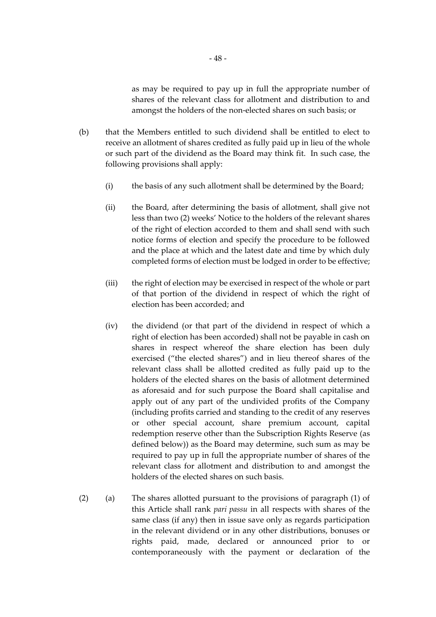as may be required to pay up in full the appropriate number of shares of the relevant class for allotment and distribution to and amongst the holders of the non-elected shares on such basis; or

- (b) that the Members entitled to such dividend shall be entitled to elect to receive an allotment of shares credited as fully paid up in lieu of the whole or such part of the dividend as the Board may think fit. In such case, the following provisions shall apply:
	- (i) the basis of any such allotment shall be determined by the Board;
	- (ii) the Board, after determining the basis of allotment, shall give not less than two (2) weeks' Notice to the holders of the relevant shares of the right of election accorded to them and shall send with such notice forms of election and specify the procedure to be followed and the place at which and the latest date and time by which duly completed forms of election must be lodged in order to be effective;
	- (iii) the right of election may be exercised in respect of the whole or part of that portion of the dividend in respect of which the right of election has been accorded; and
	- (iv) the dividend (or that part of the dividend in respect of which a right of election has been accorded) shall not be payable in cash on shares in respect whereof the share election has been duly exercised ("the elected shares") and in lieu thereof shares of the relevant class shall be allotted credited as fully paid up to the holders of the elected shares on the basis of allotment determined as aforesaid and for such purpose the Board shall capitalise and apply out of any part of the undivided profits of the Company (including profits carried and standing to the credit of any reserves or other special account, share premium account, capital redemption reserve other than the Subscription Rights Reserve (as defined below)) as the Board may determine, such sum as may be required to pay up in full the appropriate number of shares of the relevant class for allotment and distribution to and amongst the holders of the elected shares on such basis.
- (2) (a) The shares allotted pursuant to the provisions of paragraph (1) of this Article shall rank *pari passu* in all respects with shares of the same class (if any) then in issue save only as regards participation in the relevant dividend or in any other distributions, bonuses or rights paid, made, declared or announced prior to or contemporaneously with the payment or declaration of the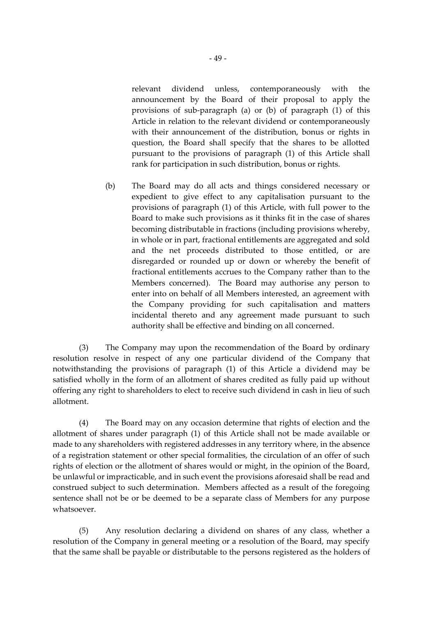relevant dividend unless, contemporaneously with the announcement by the Board of their proposal to apply the provisions of sub-paragraph (a) or (b) of paragraph (1) of this Article in relation to the relevant dividend or contemporaneously with their announcement of the distribution, bonus or rights in question, the Board shall specify that the shares to be allotted pursuant to the provisions of paragraph (1) of this Article shall rank for participation in such distribution, bonus or rights.

(b) The Board may do all acts and things considered necessary or expedient to give effect to any capitalisation pursuant to the provisions of paragraph (1) of this Article, with full power to the Board to make such provisions as it thinks fit in the case of shares becoming distributable in fractions (including provisions whereby, in whole or in part, fractional entitlements are aggregated and sold and the net proceeds distributed to those entitled, or are disregarded or rounded up or down or whereby the benefit of fractional entitlements accrues to the Company rather than to the Members concerned). The Board may authorise any person to enter into on behalf of all Members interested, an agreement with the Company providing for such capitalisation and matters incidental thereto and any agreement made pursuant to such authority shall be effective and binding on all concerned.

(3) The Company may upon the recommendation of the Board by ordinary resolution resolve in respect of any one particular dividend of the Company that notwithstanding the provisions of paragraph (1) of this Article a dividend may be satisfied wholly in the form of an allotment of shares credited as fully paid up without offering any right to shareholders to elect to receive such dividend in cash in lieu of such allotment.

(4) The Board may on any occasion determine that rights of election and the allotment of shares under paragraph (1) of this Article shall not be made available or made to any shareholders with registered addresses in any territory where, in the absence of a registration statement or other special formalities, the circulation of an offer of such rights of election or the allotment of shares would or might, in the opinion of the Board, be unlawful or impracticable, and in such event the provisions aforesaid shall be read and construed subject to such determination. Members affected as a result of the foregoing sentence shall not be or be deemed to be a separate class of Members for any purpose whatsoever.

(5) Any resolution declaring a dividend on shares of any class, whether a resolution of the Company in general meeting or a resolution of the Board, may specify that the same shall be payable or distributable to the persons registered as the holders of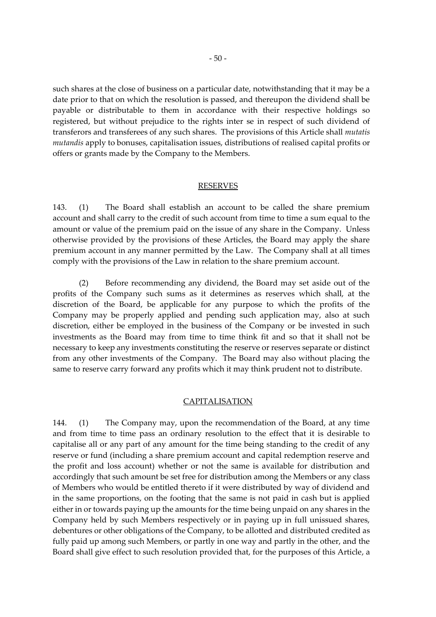such shares at the close of business on a particular date, notwithstanding that it may be a date prior to that on which the resolution is passed, and thereupon the dividend shall be payable or distributable to them in accordance with their respective holdings so registered, but without prejudice to the rights inter se in respect of such dividend of transferors and transferees of any such shares. The provisions of this Article shall *mutatis mutandis* apply to bonuses, capitalisation issues, distributions of realised capital profits or offers or grants made by the Company to the Members.

#### RESERVES

143. (1) The Board shall establish an account to be called the share premium account and shall carry to the credit of such account from time to time a sum equal to the amount or value of the premium paid on the issue of any share in the Company. Unless otherwise provided by the provisions of these Articles, the Board may apply the share premium account in any manner permitted by the Law. The Company shall at all times comply with the provisions of the Law in relation to the share premium account.

(2) Before recommending any dividend, the Board may set aside out of the profits of the Company such sums as it determines as reserves which shall, at the discretion of the Board, be applicable for any purpose to which the profits of the Company may be properly applied and pending such application may, also at such discretion, either be employed in the business of the Company or be invested in such investments as the Board may from time to time think fit and so that it shall not be necessary to keep any investments constituting the reserve or reserves separate or distinct from any other investments of the Company. The Board may also without placing the same to reserve carry forward any profits which it may think prudent not to distribute.

#### CAPITALISATION

144. (1) The Company may, upon the recommendation of the Board, at any time and from time to time pass an ordinary resolution to the effect that it is desirable to capitalise all or any part of any amount for the time being standing to the credit of any reserve or fund (including a share premium account and capital redemption reserve and the profit and loss account) whether or not the same is available for distribution and accordingly that such amount be set free for distribution among the Members or any class of Members who would be entitled thereto if it were distributed by way of dividend and in the same proportions, on the footing that the same is not paid in cash but is applied either in or towards paying up the amounts for the time being unpaid on any shares in the Company held by such Members respectively or in paying up in full unissued shares, debentures or other obligations of the Company, to be allotted and distributed credited as fully paid up among such Members, or partly in one way and partly in the other, and the Board shall give effect to such resolution provided that, for the purposes of this Article, a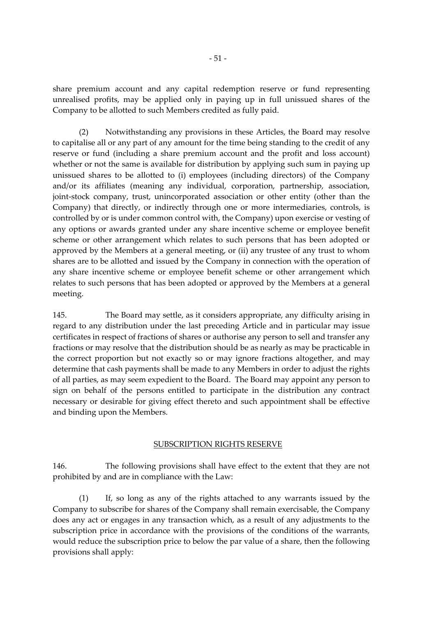share premium account and any capital redemption reserve or fund representing unrealised profits, may be applied only in paying up in full unissued shares of the Company to be allotted to such Members credited as fully paid.

(2) Notwithstanding any provisions in these Articles, the Board may resolve to capitalise all or any part of any amount for the time being standing to the credit of any reserve or fund (including a share premium account and the profit and loss account) whether or not the same is available for distribution by applying such sum in paying up unissued shares to be allotted to (i) employees (including directors) of the Company and/or its affiliates (meaning any individual, corporation, partnership, association, joint-stock company, trust, unincorporated association or other entity (other than the Company) that directly, or indirectly through one or more intermediaries, controls, is controlled by or is under common control with, the Company) upon exercise or vesting of any options or awards granted under any share incentive scheme or employee benefit scheme or other arrangement which relates to such persons that has been adopted or approved by the Members at a general meeting, or (ii) any trustee of any trust to whom shares are to be allotted and issued by the Company in connection with the operation of any share incentive scheme or employee benefit scheme or other arrangement which relates to such persons that has been adopted or approved by the Members at a general meeting.

145. The Board may settle, as it considers appropriate, any difficulty arising in regard to any distribution under the last preceding Article and in particular may issue certificates in respect of fractions of shares or authorise any person to sell and transfer any fractions or may resolve that the distribution should be as nearly as may be practicable in the correct proportion but not exactly so or may ignore fractions altogether, and may determine that cash payments shall be made to any Members in order to adjust the rights of all parties, as may seem expedient to the Board. The Board may appoint any person to sign on behalf of the persons entitled to participate in the distribution any contract necessary or desirable for giving effect thereto and such appointment shall be effective and binding upon the Members.

# SUBSCRIPTION RIGHTS RESERVE

146. The following provisions shall have effect to the extent that they are not prohibited by and are in compliance with the Law:

(1) If, so long as any of the rights attached to any warrants issued by the Company to subscribe for shares of the Company shall remain exercisable, the Company does any act or engages in any transaction which, as a result of any adjustments to the subscription price in accordance with the provisions of the conditions of the warrants, would reduce the subscription price to below the par value of a share, then the following provisions shall apply: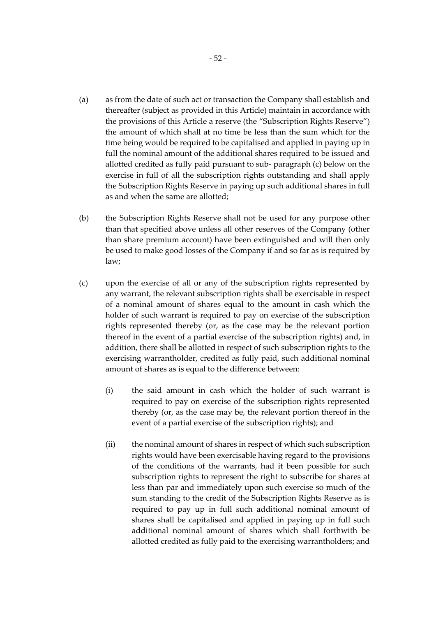- (a) as from the date of such act or transaction the Company shall establish and thereafter (subject as provided in this Article) maintain in accordance with the provisions of this Article a reserve (the "Subscription Rights Reserve") the amount of which shall at no time be less than the sum which for the time being would be required to be capitalised and applied in paying up in full the nominal amount of the additional shares required to be issued and allotted credited as fully paid pursuant to sub- paragraph (c) below on the exercise in full of all the subscription rights outstanding and shall apply the Subscription Rights Reserve in paying up such additional shares in full as and when the same are allotted;
- (b) the Subscription Rights Reserve shall not be used for any purpose other than that specified above unless all other reserves of the Company (other than share premium account) have been extinguished and will then only be used to make good losses of the Company if and so far as is required by law;
- (c) upon the exercise of all or any of the subscription rights represented by any warrant, the relevant subscription rights shall be exercisable in respect of a nominal amount of shares equal to the amount in cash which the holder of such warrant is required to pay on exercise of the subscription rights represented thereby (or, as the case may be the relevant portion thereof in the event of a partial exercise of the subscription rights) and, in addition, there shall be allotted in respect of such subscription rights to the exercising warrantholder, credited as fully paid, such additional nominal amount of shares as is equal to the difference between:
	- (i) the said amount in cash which the holder of such warrant is required to pay on exercise of the subscription rights represented thereby (or, as the case may be, the relevant portion thereof in the event of a partial exercise of the subscription rights); and
	- (ii) the nominal amount of shares in respect of which such subscription rights would have been exercisable having regard to the provisions of the conditions of the warrants, had it been possible for such subscription rights to represent the right to subscribe for shares at less than par and immediately upon such exercise so much of the sum standing to the credit of the Subscription Rights Reserve as is required to pay up in full such additional nominal amount of shares shall be capitalised and applied in paying up in full such additional nominal amount of shares which shall forthwith be allotted credited as fully paid to the exercising warrantholders; and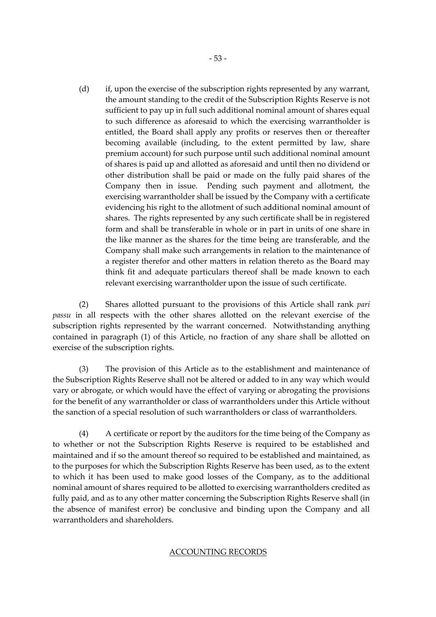(d) if, upon the exercise of the subscription rights represented by any warrant, the amount standing to the credit of the Subscription Rights Reserve is not sufficient to pay up in full such additional nominal amount of shares equal to such difference as aforesaid to which the exercising warrantholder is entitled, the Board shall apply any profits or reserves then or thereafter becoming available (including, to the extent permitted by law, share premium account) for such purpose until such additional nominal amount of shares is paid up and allotted as aforesaid and until then no dividend or other distribution shall be paid or made on the fully paid shares of the Company then in issue. Pending such payment and allotment, the exercising warrantholder shall be issued by the Company with a certificate evidencing his right to the allotment of such additional nominal amount of shares. The rights represented by any such certificate shall be in registered form and shall be transferable in whole or in part in units of one share in the like manner as the shares for the time being are transferable, and the Company shall make such arrangements in relation to the maintenance of a register therefor and other matters in relation thereto as the Board may think fit and adequate particulars thereof shall be made known to each relevant exercising warrantholder upon the issue of such certificate.

(2) Shares allotted pursuant to the provisions of this Article shall rank *pari passu* in all respects with the other shares allotted on the relevant exercise of the subscription rights represented by the warrant concerned. Notwithstanding anything contained in paragraph (1) of this Article, no fraction of any share shall be allotted on exercise of the subscription rights.

(3) The provision of this Article as to the establishment and maintenance of the Subscription Rights Reserve shall not be altered or added to in any way which would vary or abrogate, or which would have the effect of varying or abrogating the provisions for the benefit of any warrantholder or class of warrantholders under this Article without the sanction of a special resolution of such warrantholders or class of warrantholders.

(4) A certificate or report by the auditors for the time being of the Company as to whether or not the Subscription Rights Reserve is required to be established and maintained and if so the amount thereof so required to be established and maintained, as to the purposes for which the Subscription Rights Reserve has been used, as to the extent to which it has been used to make good losses of the Company, as to the additional nominal amount of shares required to be allotted to exercising warrantholders credited as fully paid, and as to any other matter concerning the Subscription Rights Reserve shall (in the absence of manifest error) be conclusive and binding upon the Company and all warrantholders and shareholders.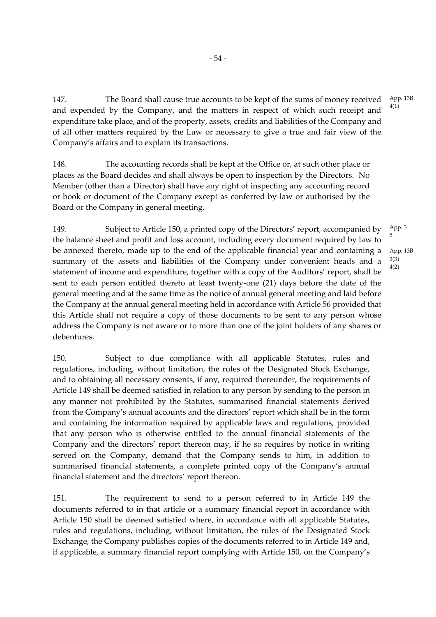147. The Board shall cause true accounts to be kept of the sums of money received and expended by the Company, and the matters in respect of which such receipt and expenditure take place, and of the property, assets, credits and liabilities of the Company and of all other matters required by the Law or necessary to give a true and fair view of the Company's affairs and to explain its transactions. 4(1)

- 54 -

148. The accounting records shall be kept at the Office or, at such other place or places as the Board decides and shall always be open to inspection by the Directors. No Member (other than a Director) shall have any right of inspecting any accounting record or book or document of the Company except as conferred by law or authorised by the Board or the Company in general meeting.

149. Subject to Article 150, a printed copy of the Directors' report, accompanied by the balance sheet and profit and loss account, including every document required by law to be annexed thereto, made up to the end of the applicable financial year and containing a summary of the assets and liabilities of the Company under convenient heads and a statement of income and expenditure, together with a copy of the Auditors' report, shall be sent to each person entitled thereto at least twenty-one (21) days before the date of the general meeting and at the same time as the notice of annual general meeting and laid before the Company at the annual general meeting held in accordance with Article 56 provided that this Article shall not require a copy of those documents to be sent to any person whose address the Company is not aware or to more than one of the joint holders of any shares or debentures. 5

150. Subject to due compliance with all applicable Statutes, rules and regulations, including, without limitation, the rules of the Designated Stock Exchange, and to obtaining all necessary consents, if any, required thereunder, the requirements of Article 149 shall be deemed satisfied in relation to any person by sending to the person in any manner not prohibited by the Statutes, summarised financial statements derived from the Company's annual accounts and the directors' report which shall be in the form and containing the information required by applicable laws and regulations, provided that any person who is otherwise entitled to the annual financial statements of the Company and the directors' report thereon may, if he so requires by notice in writing served on the Company, demand that the Company sends to him, in addition to summarised financial statements, a complete printed copy of the Company's annual financial statement and the directors' report thereon.

151. The requirement to send to a person referred to in Article 149 the documents referred to in that article or a summary financial report in accordance with Article 150 shall be deemed satisfied where, in accordance with all applicable Statutes, rules and regulations, including, without limitation, the rules of the Designated Stock Exchange, the Company publishes copies of the documents referred to in Article 149 and, if applicable, a summary financial report complying with Article 150, on the Company's

App. 13B

App. 3 App. 13B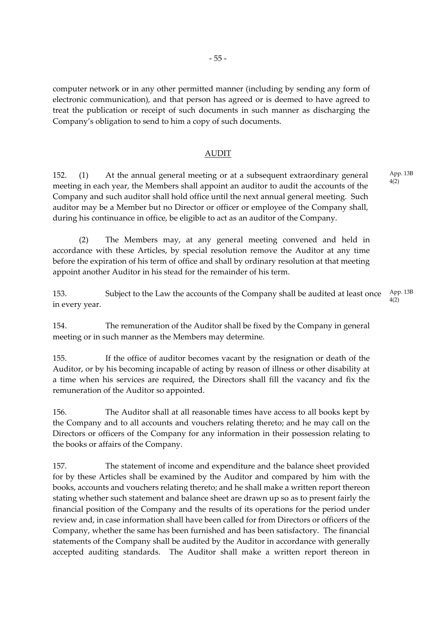computer network or in any other permitted manner (including by sending any form of electronic communication), and that person has agreed or is deemed to have agreed to treat the publication or receipt of such documents in such manner as discharging the Company's obligation to send to him a copy of such documents.

#### AUDIT

152. (1) At the annual general meeting or at a subsequent extraordinary general meeting in each year, the Members shall appoint an auditor to audit the accounts of the Company and such auditor shall hold office until the next annual general meeting. Such auditor may be a Member but no Director or officer or employee of the Company shall, during his continuance in office, be eligible to act as an auditor of the Company.

(2) The Members may, at any general meeting convened and held in accordance with these Articles, by special resolution remove the Auditor at any time before the expiration of his term of office and shall by ordinary resolution at that meeting appoint another Auditor in his stead for the remainder of his term.

153. Subject to the Law the accounts of the Company shall be audited at least once in every year. App. 13B 4(2)

154. The remuneration of the Auditor shall be fixed by the Company in general meeting or in such manner as the Members may determine.

155. If the office of auditor becomes vacant by the resignation or death of the Auditor, or by his becoming incapable of acting by reason of illness or other disability at a time when his services are required, the Directors shall fill the vacancy and fix the remuneration of the Auditor so appointed.

156. The Auditor shall at all reasonable times have access to all books kept by the Company and to all accounts and vouchers relating thereto; and he may call on the Directors or officers of the Company for any information in their possession relating to the books or affairs of the Company.

157. The statement of income and expenditure and the balance sheet provided for by these Articles shall be examined by the Auditor and compared by him with the books, accounts and vouchers relating thereto; and he shall make a written report thereon stating whether such statement and balance sheet are drawn up so as to present fairly the financial position of the Company and the results of its operations for the period under review and, in case information shall have been called for from Directors or officers of the Company, whether the same has been furnished and has been satisfactory. The financial statements of the Company shall be audited by the Auditor in accordance with generally accepted auditing standards. The Auditor shall make a written report thereon in App. 13B 4(2)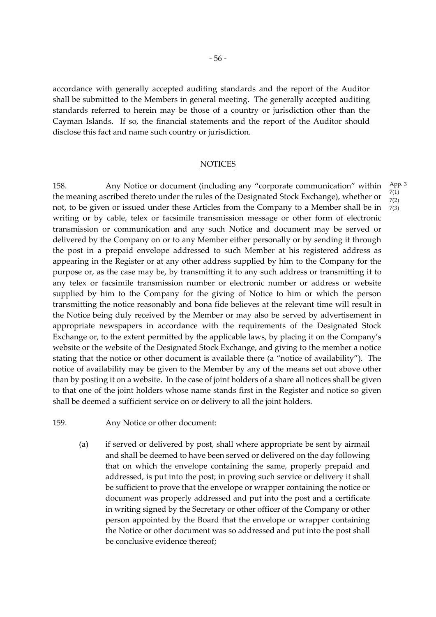accordance with generally accepted auditing standards and the report of the Auditor shall be submitted to the Members in general meeting. The generally accepted auditing standards referred to herein may be those of a country or jurisdiction other than the Cayman Islands. If so, the financial statements and the report of the Auditor should disclose this fact and name such country or jurisdiction.

### **NOTICES**

158. Any Notice or document (including any "corporate communication" within the meaning ascribed thereto under the rules of the Designated Stock Exchange), whether or not, to be given or issued under these Articles from the Company to a Member shall be in writing or by cable, telex or facsimile transmission message or other form of electronic transmission or communication and any such Notice and document may be served or delivered by the Company on or to any Member either personally or by sending it through the post in a prepaid envelope addressed to such Member at his registered address as appearing in the Register or at any other address supplied by him to the Company for the purpose or, as the case may be, by transmitting it to any such address or transmitting it to any telex or facsimile transmission number or electronic number or address or website supplied by him to the Company for the giving of Notice to him or which the person transmitting the notice reasonably and bona fide believes at the relevant time will result in the Notice being duly received by the Member or may also be served by advertisement in appropriate newspapers in accordance with the requirements of the Designated Stock Exchange or, to the extent permitted by the applicable laws, by placing it on the Company's website or the website of the Designated Stock Exchange, and giving to the member a notice stating that the notice or other document is available there (a "notice of availability"). The notice of availability may be given to the Member by any of the means set out above other than by posting it on a website. In the case of joint holders of a share all notices shall be given to that one of the joint holders whose name stands first in the Register and notice so given shall be deemed a sufficient service on or delivery to all the joint holders.

- 159. Any Notice or other document:
	- (a) if served or delivered by post, shall where appropriate be sent by airmail and shall be deemed to have been served or delivered on the day following that on which the envelope containing the same, properly prepaid and addressed, is put into the post; in proving such service or delivery it shall be sufficient to prove that the envelope or wrapper containing the notice or document was properly addressed and put into the post and a certificate in writing signed by the Secretary or other officer of the Company or other person appointed by the Board that the envelope or wrapper containing the Notice or other document was so addressed and put into the post shall be conclusive evidence thereof;

App. 3 7(1) 7(2)

7(3)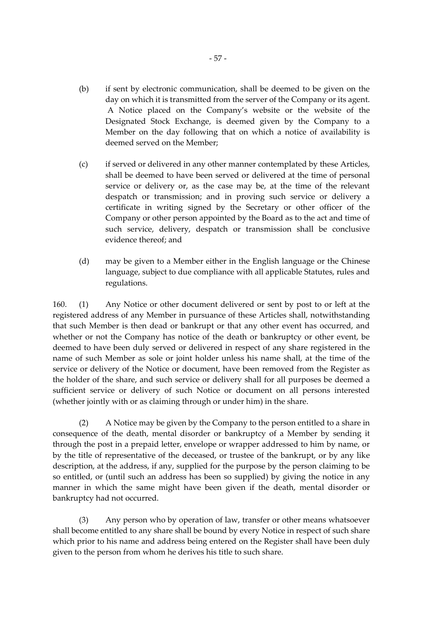- (b) if sent by electronic communication, shall be deemed to be given on the day on which it is transmitted from the server of the Company or its agent. A Notice placed on the Company's website or the website of the Designated Stock Exchange, is deemed given by the Company to a Member on the day following that on which a notice of availability is deemed served on the Member;
- (c) if served or delivered in any other manner contemplated by these Articles, shall be deemed to have been served or delivered at the time of personal service or delivery or, as the case may be, at the time of the relevant despatch or transmission; and in proving such service or delivery a certificate in writing signed by the Secretary or other officer of the Company or other person appointed by the Board as to the act and time of such service, delivery, despatch or transmission shall be conclusive evidence thereof; and
- (d) may be given to a Member either in the English language or the Chinese language, subject to due compliance with all applicable Statutes, rules and regulations.

160. (1) Any Notice or other document delivered or sent by post to or left at the registered address of any Member in pursuance of these Articles shall, notwithstanding that such Member is then dead or bankrupt or that any other event has occurred, and whether or not the Company has notice of the death or bankruptcy or other event, be deemed to have been duly served or delivered in respect of any share registered in the name of such Member as sole or joint holder unless his name shall, at the time of the service or delivery of the Notice or document, have been removed from the Register as the holder of the share, and such service or delivery shall for all purposes be deemed a sufficient service or delivery of such Notice or document on all persons interested (whether jointly with or as claiming through or under him) in the share.

(2) A Notice may be given by the Company to the person entitled to a share in consequence of the death, mental disorder or bankruptcy of a Member by sending it through the post in a prepaid letter, envelope or wrapper addressed to him by name, or by the title of representative of the deceased, or trustee of the bankrupt, or by any like description, at the address, if any, supplied for the purpose by the person claiming to be so entitled, or (until such an address has been so supplied) by giving the notice in any manner in which the same might have been given if the death, mental disorder or bankruptcy had not occurred.

(3) Any person who by operation of law, transfer or other means whatsoever shall become entitled to any share shall be bound by every Notice in respect of such share which prior to his name and address being entered on the Register shall have been duly given to the person from whom he derives his title to such share.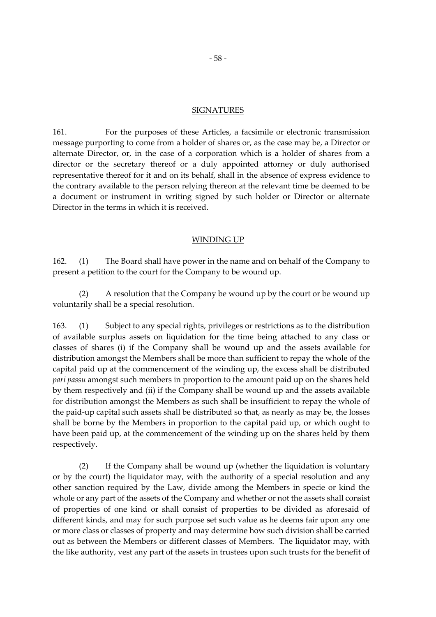#### **SIGNATURES**

161. For the purposes of these Articles, a facsimile or electronic transmission message purporting to come from a holder of shares or, as the case may be, a Director or alternate Director, or, in the case of a corporation which is a holder of shares from a director or the secretary thereof or a duly appointed attorney or duly authorised representative thereof for it and on its behalf, shall in the absence of express evidence to the contrary available to the person relying thereon at the relevant time be deemed to be a document or instrument in writing signed by such holder or Director or alternate Director in the terms in which it is received.

#### WINDING UP

162. (1) The Board shall have power in the name and on behalf of the Company to present a petition to the court for the Company to be wound up.

(2) A resolution that the Company be wound up by the court or be wound up voluntarily shall be a special resolution.

163. (1) Subject to any special rights, privileges or restrictions as to the distribution of available surplus assets on liquidation for the time being attached to any class or classes of shares (i) if the Company shall be wound up and the assets available for distribution amongst the Members shall be more than sufficient to repay the whole of the capital paid up at the commencement of the winding up, the excess shall be distributed *pari passu* amongst such members in proportion to the amount paid up on the shares held by them respectively and (ii) if the Company shall be wound up and the assets available for distribution amongst the Members as such shall be insufficient to repay the whole of the paid-up capital such assets shall be distributed so that, as nearly as may be, the losses shall be borne by the Members in proportion to the capital paid up, or which ought to have been paid up, at the commencement of the winding up on the shares held by them respectively.

(2) If the Company shall be wound up (whether the liquidation is voluntary or by the court) the liquidator may, with the authority of a special resolution and any other sanction required by the Law, divide among the Members in specie or kind the whole or any part of the assets of the Company and whether or not the assets shall consist of properties of one kind or shall consist of properties to be divided as aforesaid of different kinds, and may for such purpose set such value as he deems fair upon any one or more class or classes of property and may determine how such division shall be carried out as between the Members or different classes of Members. The liquidator may, with the like authority, vest any part of the assets in trustees upon such trusts for the benefit of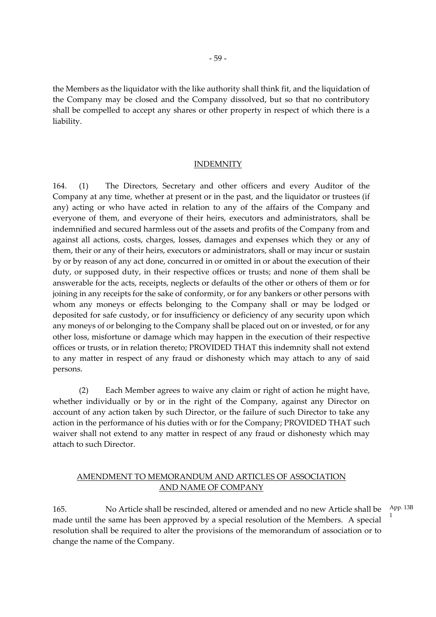the Members as the liquidator with the like authority shall think fit, and the liquidation of the Company may be closed and the Company dissolved, but so that no contributory shall be compelled to accept any shares or other property in respect of which there is a liability.

#### INDEMNITY

164. (1) The Directors, Secretary and other officers and every Auditor of the Company at any time, whether at present or in the past, and the liquidator or trustees (if any) acting or who have acted in relation to any of the affairs of the Company and everyone of them, and everyone of their heirs, executors and administrators, shall be indemnified and secured harmless out of the assets and profits of the Company from and against all actions, costs, charges, losses, damages and expenses which they or any of them, their or any of their heirs, executors or administrators, shall or may incur or sustain by or by reason of any act done, concurred in or omitted in or about the execution of their duty, or supposed duty, in their respective offices or trusts; and none of them shall be answerable for the acts, receipts, neglects or defaults of the other or others of them or for joining in any receipts for the sake of conformity, or for any bankers or other persons with whom any moneys or effects belonging to the Company shall or may be lodged or deposited for safe custody, or for insufficiency or deficiency of any security upon which any moneys of or belonging to the Company shall be placed out on or invested, or for any other loss, misfortune or damage which may happen in the execution of their respective offices or trusts, or in relation thereto; PROVIDED THAT this indemnity shall not extend to any matter in respect of any fraud or dishonesty which may attach to any of said persons.

(2) Each Member agrees to waive any claim or right of action he might have, whether individually or by or in the right of the Company, against any Director on account of any action taken by such Director, or the failure of such Director to take any action in the performance of his duties with or for the Company; PROVIDED THAT such waiver shall not extend to any matter in respect of any fraud or dishonesty which may attach to such Director.

# AMENDMENT TO MEMORANDUM AND ARTICLES OF ASSOCIATION AND NAME OF COMPANY

165. No Article shall be rescinded, altered or amended and no new Article shall be made until the same has been approved by a special resolution of the Members. A special resolution shall be required to alter the provisions of the memorandum of association or to change the name of the Company. App. 13B 1